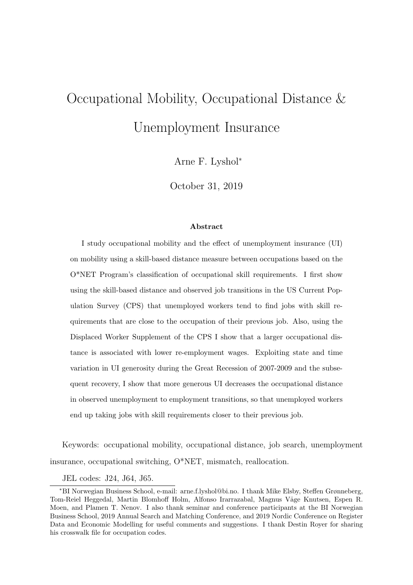# Occupational Mobility, Occupational Distance & Unemployment Insurance

Arne F. Lyshol<sup>∗</sup>

October 31, 2019

#### **Abstract**

I study occupational mobility and the effect of unemployment insurance (UI) on mobility using a skill-based distance measure between occupations based on the O\*NET Program's classification of occupational skill requirements. I first show using the skill-based distance and observed job transitions in the US Current Population Survey (CPS) that unemployed workers tend to find jobs with skill requirements that are close to the occupation of their previous job. Also, using the Displaced Worker Supplement of the CPS I show that a larger occupational distance is associated with lower re-employment wages. Exploiting state and time variation in UI generosity during the Great Recession of 2007-2009 and the subsequent recovery, I show that more generous UI decreases the occupational distance in observed unemployment to employment transitions, so that unemployed workers end up taking jobs with skill requirements closer to their previous job.

Keywords: occupational mobility, occupational distance, job search, unemployment insurance, occupational switching, O\*NET, mismatch, reallocation.

JEL codes: J24, J64, J65.

<sup>∗</sup>BI Norwegian Business School, e-mail: arne.f.lyshol@bi.no. I thank Mike Elsby, Steffen Grønneberg, Tom-Reiel Heggedal, Martin Blomhoff Holm, Alfonso Irarrazabal, Magnus Våge Knutsen, Espen R. Moen, and Plamen T. Nenov. I also thank seminar and conference participants at the BI Norwegian Business School, 2019 Annual Search and Matching Conference, and 2019 Nordic Conference on Register Data and Economic Modelling for useful comments and suggestions. I thank Destin Royer for sharing his crosswalk file for occupation codes.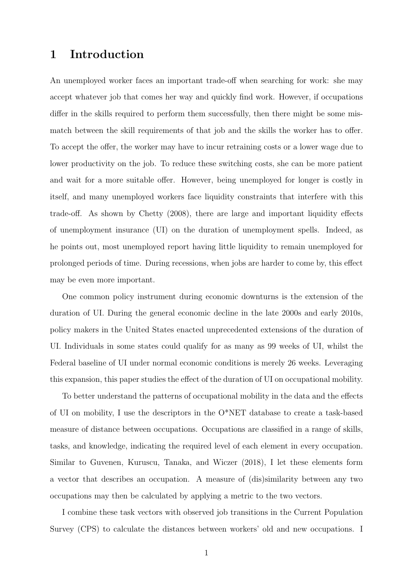# 1 Introduction

An unemployed worker faces an important trade-off when searching for work: she may accept whatever job that comes her way and quickly find work. However, if occupations differ in the skills required to perform them successfully, then there might be some mismatch between the skill requirements of that job and the skills the worker has to offer. To accept the offer, the worker may have to incur retraining costs or a lower wage due to lower productivity on the job. To reduce these switching costs, she can be more patient and wait for a more suitable offer. However, being unemployed for longer is costly in itself, and many unemployed workers face liquidity constraints that interfere with this trade-off. As shown by [Chetty](#page-35-0) [\(2008\)](#page-35-0), there are large and important liquidity effects of unemployment insurance (UI) on the duration of unemployment spells. Indeed, as he points out, most unemployed report having little liquidity to remain unemployed for prolonged periods of time. During recessions, when jobs are harder to come by, this effect may be even more important.

One common policy instrument during economic downturns is the extension of the duration of UI. During the general economic decline in the late 2000s and early 2010s, policy makers in the United States enacted unprecedented extensions of the duration of UI. Individuals in some states could qualify for as many as 99 weeks of UI, whilst the Federal baseline of UI under normal economic conditions is merely 26 weeks. Leveraging this expansion, this paper studies the effect of the duration of UI on occupational mobility.

To better understand the patterns of occupational mobility in the data and the effects of UI on mobility, I use the descriptors in the  $O^*NET$  database to create a task-based measure of distance between occupations. Occupations are classified in a range of skills, tasks, and knowledge, indicating the required level of each element in every occupation. Similar to [Guvenen, Kuruscu, Tanaka, and Wiczer](#page-36-0) [\(2018\)](#page-36-0), I let these elements form a vector that describes an occupation. A measure of (dis)similarity between any two occupations may then be calculated by applying a metric to the two vectors.

I combine these task vectors with observed job transitions in the Current Population Survey (CPS) to calculate the distances between workers' old and new occupations. I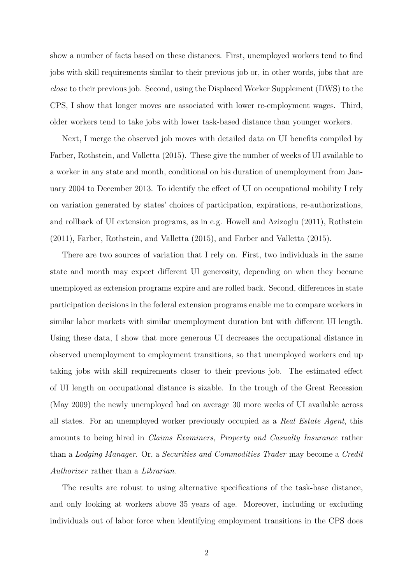show a number of facts based on these distances. First, unemployed workers tend to find jobs with skill requirements similar to their previous job or, in other words, jobs that are close to their previous job. Second, using the Displaced Worker Supplement (DWS) to the CPS, I show that longer moves are associated with lower re-employment wages. Third, older workers tend to take jobs with lower task-based distance than younger workers.

Next, I merge the observed job moves with detailed data on UI benefits compiled by [Farber, Rothstein, and Valletta](#page-35-1) [\(2015\)](#page-35-1). These give the number of weeks of UI available to a worker in any state and month, conditional on his duration of unemployment from January 2004 to December 2013. To identify the effect of UI on occupational mobility I rely on variation generated by states' choices of participation, expirations, re-authorizations, and rollback of UI extension programs, as in e.g. [Howell and Azizoglu](#page-37-0) [\(2011\)](#page-37-0), [Rothstein](#page-38-0) [\(2011\)](#page-38-0), [Farber, Rothstein, and Valletta](#page-35-1) [\(2015\)](#page-35-1), and [Farber and Valletta](#page-36-1) [\(2015\)](#page-36-1).

There are two sources of variation that I rely on. First, two individuals in the same state and month may expect different UI generosity, depending on when they became unemployed as extension programs expire and are rolled back. Second, differences in state participation decisions in the federal extension programs enable me to compare workers in similar labor markets with similar unemployment duration but with different UI length. Using these data, I show that more generous UI decreases the occupational distance in observed unemployment to employment transitions, so that unemployed workers end up taking jobs with skill requirements closer to their previous job. The estimated effect of UI length on occupational distance is sizable. In the trough of the Great Recession (May 2009) the newly unemployed had on average 30 more weeks of UI available across all states. For an unemployed worker previously occupied as a Real Estate Agent, this amounts to being hired in Claims Examiners, Property and Casualty Insurance rather than a Lodging Manager. Or, a Securities and Commodities Trader may become a Credit Authorizer rather than a Librarian.

The results are robust to using alternative specifications of the task-base distance, and only looking at workers above 35 years of age. Moreover, including or excluding individuals out of labor force when identifying employment transitions in the CPS does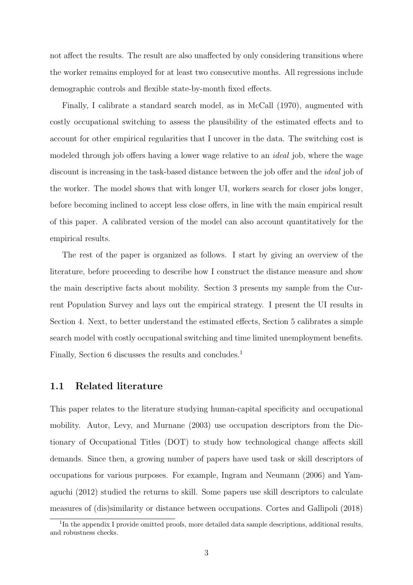not affect the results. The result are also unaffected by only considering transitions where the worker remains employed for at least two consecutive months. All regressions include demographic controls and flexible state-by-month fixed effects.

Finally, I calibrate a standard search model, as in [McCall](#page-37-1) [\(1970\)](#page-37-1), augmented with costly occupational switching to assess the plausibility of the estimated effects and to account for other empirical regularities that I uncover in the data. The switching cost is modeled through job offers having a lower wage relative to an ideal job, where the wage discount is increasing in the task-based distance between the job offer and the *ideal* job of the worker. The model shows that with longer UI, workers search for closer jobs longer, before becoming inclined to accept less close offers, in line with the main empirical result of this paper. A calibrated version of the model can also account quantitatively for the empirical results.

The rest of the paper is organized as follows. I start by giving an overview of the literature, before proceeding to describe how I construct the distance measure and show the main descriptive facts about mobility. Section [3](#page-16-0) presents my sample from the Current Population Survey and lays out the empirical strategy. I present the UI results in Section [4.](#page-22-0) Next, to better understand the estimated effects, Section [5](#page-26-0) calibrates a simple search model with costly occupational switching and time limited unemployment benefits. Finally, Section [6](#page-32-0) discusses the results and concludes.<sup>[1](#page-3-0)</sup>

#### 1.1 Related literature

This paper relates to the literature studying human-capital specificity and occupational mobility. [Autor, Levy, and Murnane](#page-34-0) [\(2003\)](#page-34-0) use occupation descriptors from the Dictionary of Occupational Titles (DOT) to study how technological change affects skill demands. Since then, a growing number of papers have used task or skill descriptors of occupations for various purposes. For example, [Ingram and Neumann](#page-37-2) [\(2006\)](#page-37-2) and [Yam](#page-39-0)[aguchi](#page-39-0) [\(2012\)](#page-39-0) studied the returns to skill. Some papers use skill descriptors to calculate measures of (dis)similarity or distance between occupations. [Cortes and Gallipoli](#page-35-2) [\(2018\)](#page-35-2)

<span id="page-3-0"></span><sup>&</sup>lt;sup>1</sup>In the appendix I provide omitted proofs, more detailed data sample descriptions, additional results, and robustness checks.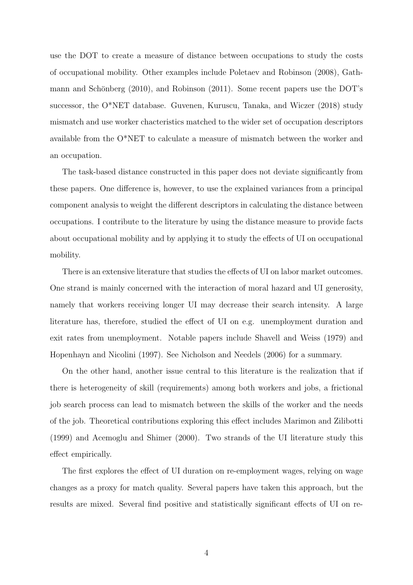use the DOT to create a measure of distance between occupations to study the costs of occupational mobility. Other examples include [Poletaev and Robinson](#page-38-1) [\(2008\)](#page-38-1), [Gath](#page-36-2)mann and Schönberg  $(2010)$ , and [Robinson](#page-38-2)  $(2011)$ . Some recent papers use the DOT's successor, the O\*NET database. [Guvenen, Kuruscu, Tanaka, and Wiczer](#page-36-0) [\(2018\)](#page-36-0) study mismatch and use worker chacteristics matched to the wider set of occupation descriptors available from the O\*NET to calculate a measure of mismatch between the worker and an occupation.

The task-based distance constructed in this paper does not deviate significantly from these papers. One difference is, however, to use the explained variances from a principal component analysis to weight the different descriptors in calculating the distance between occupations. I contribute to the literature by using the distance measure to provide facts about occupational mobility and by applying it to study the effects of UI on occupational mobility.

There is an extensive literature that studies the effects of UI on labor market outcomes. One strand is mainly concerned with the interaction of moral hazard and UI generosity, namely that workers receiving longer UI may decrease their search intensity. A large literature has, therefore, studied the effect of UI on e.g. unemployment duration and exit rates from unemployment. Notable papers include [Shavell and Weiss](#page-39-1) [\(1979\)](#page-39-1) and [Hopenhayn and Nicolini](#page-37-3) [\(1997\)](#page-37-3). See [Nicholson and Needels](#page-38-3) [\(2006\)](#page-38-3) for a summary.

On the other hand, another issue central to this literature is the realization that if there is heterogeneity of skill (requirements) among both workers and jobs, a frictional job search process can lead to mismatch between the skills of the worker and the needs of the job. Theoretical contributions exploring this effect includes [Marimon and Zilibotti](#page-37-4) [\(1999\)](#page-37-4) and [Acemoglu and Shimer](#page-34-1) [\(2000\)](#page-34-1). Two strands of the UI literature study this effect empirically.

The first explores the effect of UI duration on re-employment wages, relying on wage changes as a proxy for match quality. Several papers have taken this approach, but the results are mixed. Several find positive and statistically significant effects of UI on re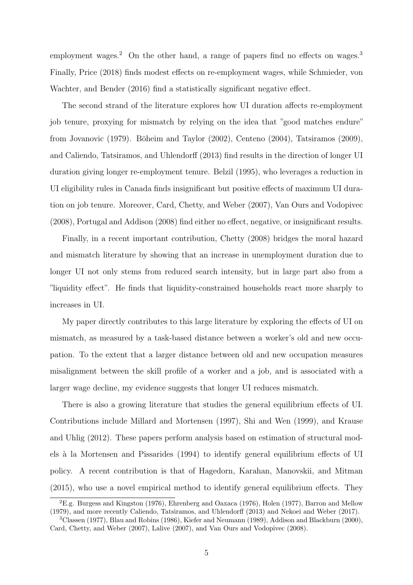employment wages.<sup>[2](#page-5-0)</sup> On the other hand, a range of papers find no effects on wages.<sup>[3](#page-5-1)</sup> Finally, [Price](#page-38-4) [\(2018\)](#page-38-4) finds modest effects on re-employment wages, while [Schmieder, von](#page-38-5) [Wachter, and Bender](#page-38-5) [\(2016\)](#page-38-5) find a statistically significant negative effect.

The second strand of the literature explores how UI duration affects re-employment job tenure, proxying for mismatch by relying on the idea that "good matches endure" from [Jovanovic](#page-37-5) [\(1979\)](#page-37-5). Böheim and Taylor [\(2002\)](#page-34-2), [Centeno](#page-35-3) [\(2004\)](#page-35-3), [Tatsiramos](#page-39-2) [\(2009\)](#page-39-2), and [Caliendo, Tatsiramos, and Uhlendorff](#page-34-3) [\(2013\)](#page-34-3) find results in the direction of longer UI duration giving longer re-employment tenure. [Belzil](#page-34-4) [\(1995\)](#page-34-4), who leverages a reduction in UI eligibility rules in Canada finds insignificant but positive effects of maximum UI duration on job tenure. Moreover, [Card, Chetty, and Weber](#page-35-4) [\(2007\)](#page-35-4), [Van Ours and Vodopivec](#page-39-3) [\(2008\)](#page-39-3), [Portugal and Addison](#page-38-6) [\(2008\)](#page-38-6) find either no effect, negative, or insignificant results.

Finally, in a recent important contribution, [Chetty](#page-35-0) [\(2008\)](#page-35-0) bridges the moral hazard and mismatch literature by showing that an increase in unemployment duration due to longer UI not only stems from reduced search intensity, but in large part also from a "liquidity effect". He finds that liquidity-constrained households react more sharply to increases in UI.

My paper directly contributes to this large literature by exploring the effects of UI on mismatch, as measured by a task-based distance between a worker's old and new occupation. To the extent that a larger distance between old and new occupation measures misalignment between the skill profile of a worker and a job, and is associated with a larger wage decline, my evidence suggests that longer UI reduces mismatch.

There is also a growing literature that studies the general equilibrium effects of UI. Contributions include [Millard and Mortensen](#page-37-6) [\(1997\)](#page-37-6), [Shi and Wen](#page-39-4) [\(1999\)](#page-39-4), and [Krause](#page-37-7) [and Uhlig](#page-37-7) [\(2012\)](#page-37-7). These papers perform analysis based on estimation of structural models `a la [Mortensen and Pissarides](#page-38-7) [\(1994\)](#page-38-7) to identify general equilibrium effects of UI policy. A recent contribution is that of [Hagedorn, Karahan, Manovskii, and Mitman](#page-36-3) [\(2015\)](#page-36-3), who use a novel empirical method to identify general equilibrium effects. They

<span id="page-5-0"></span> ${}^{2}E.g.$  [Burgess and Kingston](#page-34-5) [\(1976\)](#page-35-5), [Ehrenberg and Oaxaca](#page-35-5) (1976), [Holen](#page-37-8) [\(1977\)](#page-37-8), [Barron and Mellow](#page-34-6) [\(1979\)](#page-34-6), and more recently [Caliendo, Tatsiramos, and Uhlendorff](#page-34-3) [\(2013\)](#page-34-3) and [Nekoei and Weber](#page-38-8) [\(2017\)](#page-38-8).

<span id="page-5-1"></span><sup>3</sup>[Classen](#page-35-6) [\(1977\)](#page-35-6), [Blau and Robins](#page-34-7) [\(1986\)](#page-34-7), [Kiefer and Neumann](#page-37-9) [\(1989\)](#page-37-9), [Addison and Blackburn](#page-34-8) [\(2000\)](#page-34-8), [Card, Chetty, and Weber](#page-35-4) [\(2007\)](#page-35-4), [Lalive](#page-37-10) [\(2007\)](#page-37-10), and [Van Ours and Vodopivec](#page-39-3) [\(2008\)](#page-39-3).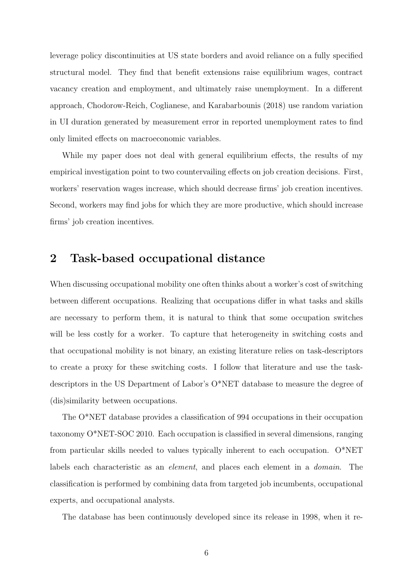leverage policy discontinuities at US state borders and avoid reliance on a fully specified structural model. They find that benefit extensions raise equilibrium wages, contract vacancy creation and employment, and ultimately raise unemployment. In a different approach, [Chodorow-Reich, Coglianese, and Karabarbounis](#page-35-7) [\(2018\)](#page-35-7) use random variation in UI duration generated by measurement error in reported unemployment rates to find only limited effects on macroeconomic variables.

While my paper does not deal with general equilibrium effects, the results of my empirical investigation point to two countervailing effects on job creation decisions. First, workers' reservation wages increase, which should decrease firms' job creation incentives. Second, workers may find jobs for which they are more productive, which should increase firms' job creation incentives.

## 2 Task-based occupational distance

When discussing occupational mobility one often thinks about a worker's cost of switching between different occupations. Realizing that occupations differ in what tasks and skills are necessary to perform them, it is natural to think that some occupation switches will be less costly for a worker. To capture that heterogeneity in switching costs and that occupational mobility is not binary, an existing literature relies on task-descriptors to create a proxy for these switching costs. I follow that literature and use the taskdescriptors in the US Department of Labor's O\*NET database to measure the degree of (dis)similarity between occupations.

The O\*NET database provides a classification of 994 occupations in their occupation taxonomy O\*NET-SOC 2010. Each occupation is classified in several dimensions, ranging from particular skills needed to values typically inherent to each occupation. O\*NET labels each characteristic as an element, and places each element in a domain. The classification is performed by combining data from targeted job incumbents, occupational experts, and occupational analysts.

The database has been continuously developed since its release in 1998, when it re-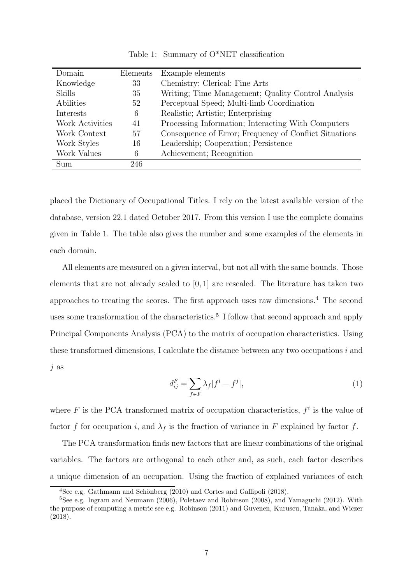<span id="page-7-0"></span>

| Domain          | Elements | Example elements                                       |
|-----------------|----------|--------------------------------------------------------|
| Knowledge       | 33       | Chemistry; Clerical; Fine Arts                         |
| <b>Skills</b>   | 35       | Writing; Time Management; Quality Control Analysis     |
| Abilities       | 52       | Perceptual Speed; Multi-limb Coordination              |
| Interests       | 6        | Realistic; Artistic; Enterprising                      |
| Work Activities | 41       | Processing Information; Interacting With Computers     |
| Work Context    | 57       | Consequence of Error; Frequency of Conflict Situations |
| Work Styles     | 16       | Leadership; Cooperation; Persistence                   |
| Work Values     | 6        | Achievement; Recognition                               |
| Sum             | 246      |                                                        |

Table 1: Summary of O\*NET classification

placed the Dictionary of Occupational Titles. I rely on the latest available version of the database, version 22.1 dated October 2017. From this version I use the complete domains given in Table [1.](#page-7-0) The table also gives the number and some examples of the elements in each domain.

All elements are measured on a given interval, but not all with the same bounds. Those elements that are not already scaled to  $[0, 1]$  are rescaled. The literature has taken two approaches to treating the scores. The first approach uses raw dimensions.[4](#page-7-1) The second uses some transformation of the characteristics.<sup>[5](#page-7-2)</sup> I follow that second approach and apply Principal Components Analysis (PCA) to the matrix of occupation characteristics. Using these transformed dimensions, I calculate the distance between any two occupations i and j as

<span id="page-7-3"></span>
$$
d_{ij}^F = \sum_{f \in F} \lambda_f |f^i - f^j|,\tag{1}
$$

where  $F$  is the PCA transformed matrix of occupation characteristics,  $f^i$  is the value of factor f for occupation i, and  $\lambda_f$  is the fraction of variance in F explained by factor f.

The PCA transformation finds new factors that are linear combinations of the original variables. The factors are orthogonal to each other and, as such, each factor describes a unique dimension of an occupation. Using the fraction of explained variances of each

<span id="page-7-2"></span><span id="page-7-1"></span><sup>&</sup>lt;sup>4</sup>See e.g. Gathmann and Schönberg  $(2010)$  and [Cortes and Gallipoli](#page-35-2)  $(2018)$ .

<sup>5</sup>See e.g. [Ingram and Neumann](#page-37-2) [\(2006\)](#page-37-2), [Poletaev and Robinson](#page-38-1) [\(2008\)](#page-38-1), and [Yamaguchi](#page-39-0) [\(2012\)](#page-39-0). With the purpose of computing a metric see e.g. [Robinson](#page-38-2) [\(2011\)](#page-38-2) and [Guvenen, Kuruscu, Tanaka, and Wiczer](#page-36-0) [\(2018\)](#page-36-0).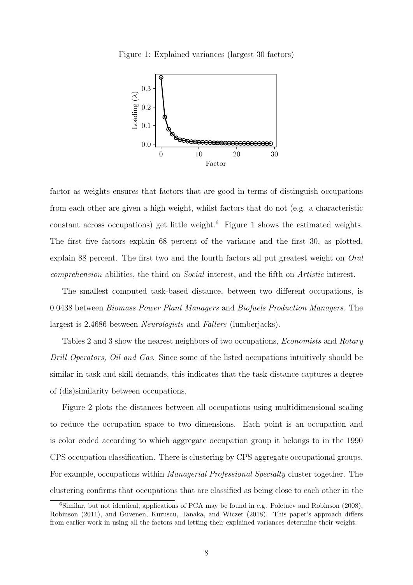<span id="page-8-1"></span>Figure 1: Explained variances (largest 30 factors)



factor as weights ensures that factors that are good in terms of distinguish occupations from each other are given a high weight, whilst factors that do not (e.g. a characteristic constant across occupations) get little weight.[6](#page-8-0) Figure [1](#page-8-1) shows the estimated weights. The first five factors explain 68 percent of the variance and the first 30, as plotted, explain 88 percent. The first two and the fourth factors all put greatest weight on Oral comprehension abilities, the third on Social interest, and the fifth on Artistic interest.

The smallest computed task-based distance, between two different occupations, is 0.0438 between Biomass Power Plant Managers and Biofuels Production Managers. The largest is 2.4686 between Neurologists and Fallers (lumberjacks).

Tables [2](#page-9-0) and [3](#page-9-0) show the nearest neighbors of two occupations, *Economists* and *Rotary* Drill Operators, Oil and Gas. Since some of the listed occupations intuitively should be similar in task and skill demands, this indicates that the task distance captures a degree of (dis)similarity between occupations.

Figure [2](#page-10-0) plots the distances between all occupations using multidimensional scaling to reduce the occupation space to two dimensions. Each point is an occupation and is color coded according to which aggregate occupation group it belongs to in the 1990 CPS occupation classification. There is clustering by CPS aggregate occupational groups. For example, occupations within Managerial Professional Specialty cluster together. The clustering confirms that occupations that are classified as being close to each other in the

<span id="page-8-0"></span><sup>6</sup>Similar, but not identical, applications of PCA may be found in e.g. [Poletaev and Robinson](#page-38-1) [\(2008\)](#page-38-1), [Robinson](#page-38-2) [\(2011\)](#page-38-2), and [Guvenen, Kuruscu, Tanaka, and Wiczer](#page-36-0) [\(2018\)](#page-36-0). This paper's approach differs from earlier work in using all the factors and letting their explained variances determine their weight.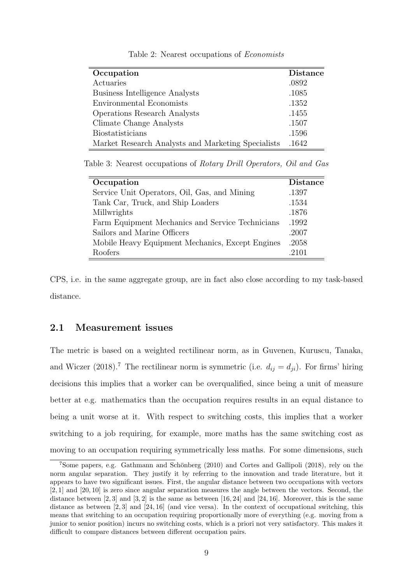<span id="page-9-0"></span>

| Occupation                                         | <b>Distance</b> |
|----------------------------------------------------|-----------------|
| Actuaries                                          | .0892           |
| <b>Business Intelligence Analysts</b>              | .1085           |
| Environmental Economists                           | .1352           |
| <b>Operations Research Analysts</b>                | .1455           |
| Climate Change Analysts                            | .1507           |
| Biostatisticians                                   | .1596           |
| Market Research Analysts and Marketing Specialists | .1642           |

Table 2: Nearest occupations of Economists

Table 3: Nearest occupations of Rotary Drill Operators, Oil and Gas

| Occupation                                       | <b>Distance</b> |
|--------------------------------------------------|-----------------|
| Service Unit Operators, Oil, Gas, and Mining     | .1397           |
| Tank Car, Truck, and Ship Loaders                | .1534           |
| Millwrights                                      | .1876           |
| Farm Equipment Mechanics and Service Technicians | .1992           |
| Sailors and Marine Officers                      | .2007           |
| Mobile Heavy Equipment Mechanics, Except Engines | .2058           |
| Roofers                                          | -2101           |

CPS, i.e. in the same aggregate group, are in fact also close according to my task-based distance.

### 2.1 Measurement issues

The metric is based on a weighted rectilinear norm, as in [Guvenen, Kuruscu, Tanaka,](#page-36-0) [and Wiczer](#page-36-0) [\(2018\)](#page-36-0).<sup>[7](#page-9-1)</sup> The rectilinear norm is symmetric (i.e.  $d_{ij} = d_{ji}$ ). For firms' hiring decisions this implies that a worker can be overqualified, since being a unit of measure better at e.g. mathematics than the occupation requires results in an equal distance to being a unit worse at it. With respect to switching costs, this implies that a worker switching to a job requiring, for example, more maths has the same switching cost as moving to an occupation requiring symmetrically less maths. For some dimensions, such

<span id="page-9-1"></span> $7$ Some papers, e.g. Gathmann and Schönberg [\(2010\)](#page-36-2) and [Cortes and Gallipoli](#page-35-2) [\(2018\)](#page-35-2), rely on the norm angular separation. They justify it by referring to the innovation and trade literature, but it appears to have two significant issues. First, the angular distance between two occupations with vectors [2, 1] and [20, 10] is zero since angular separation measures the angle between the vectors. Second, the distance between  $[2, 3]$  and  $[3, 2]$  is the same as between  $[16, 24]$  and  $[24, 16]$ . Moreover, this is the same distance as between [2, 3] and [24, 16] (and vice versa). In the context of occupational switching, this means that switching to an occupation requiring proportionally more of everything (e.g. moving from a junior to senior position) incurs no switching costs, which is a priori not very satisfactory. This makes it difficult to compare distances between different occupation pairs.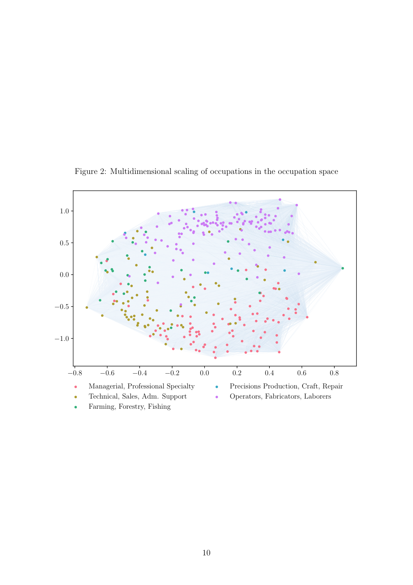<span id="page-10-0"></span>

Figure 2: Multidimensional scaling of occupations in the occupation space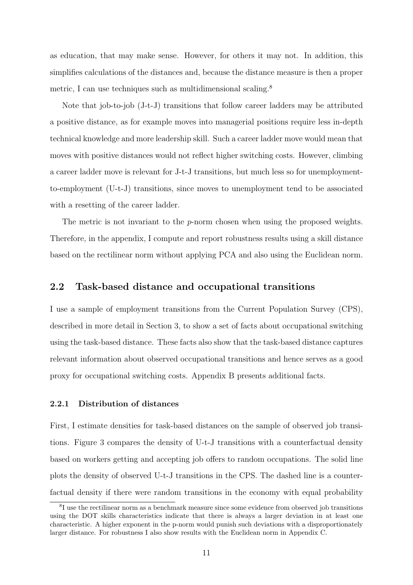as education, that may make sense. However, for others it may not. In addition, this simplifies calculations of the distances and, because the distance measure is then a proper metric, I can use techniques such as multidimensional scaling.<sup>[8](#page-11-0)</sup>

Note that job-to-job (J-t-J) transitions that follow career ladders may be attributed a positive distance, as for example moves into managerial positions require less in-depth technical knowledge and more leadership skill. Such a career ladder move would mean that moves with positive distances would not reflect higher switching costs. However, climbing a career ladder move is relevant for J-t-J transitions, but much less so for unemploymentto-employment (U-t-J) transitions, since moves to unemployment tend to be associated with a resetting of the career ladder.

The metric is not invariant to the *p*-norm chosen when using the proposed weights. Therefore, in the appendix, I compute and report robustness results using a skill distance based on the rectilinear norm without applying PCA and also using the Euclidean norm.

### <span id="page-11-1"></span>2.2 Task-based distance and occupational transitions

I use a sample of employment transitions from the Current Population Survey (CPS), described in more detail in Section [3,](#page-16-0) to show a set of facts about occupational switching using the task-based distance. These facts also show that the task-based distance captures relevant information about observed occupational transitions and hence serves as a good proxy for occupational switching costs. Appendix [B](#page-42-0) presents additional facts.

#### 2.2.1 Distribution of distances

First, I estimate densities for task-based distances on the sample of observed job transitions. Figure [3](#page-12-0) compares the density of U-t-J transitions with a counterfactual density based on workers getting and accepting job offers to random occupations. The solid line plots the density of observed U-t-J transitions in the CPS. The dashed line is a counterfactual density if there were random transitions in the economy with equal probability

<span id="page-11-0"></span><sup>&</sup>lt;sup>8</sup>I use the rectilinear norm as a benchmark measure since some evidence from observed job transitions using the DOT skills characteristics indicate that there is always a larger deviation in at least one characteristic. A higher exponent in the p-norm would punish such deviations with a disproportionately larger distance. For robustness I also show results with the Euclidean norm in Appendix [C.](#page-46-0)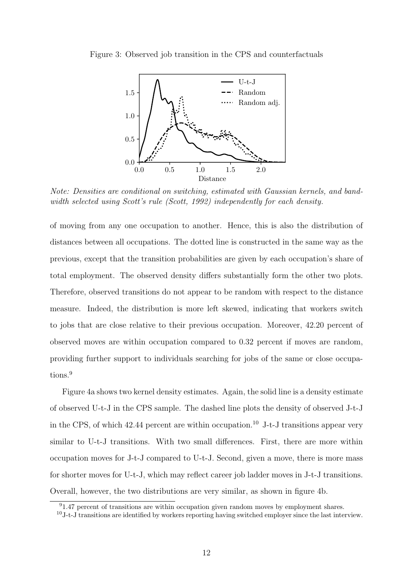<span id="page-12-0"></span>



Note: Densities are conditional on switching, estimated with Gaussian kernels, and band-width selected using Scott's rule [\(Scott, 1992\)](#page-39-5) independently for each density.

of moving from any one occupation to another. Hence, this is also the distribution of distances between all occupations. The dotted line is constructed in the same way as the previous, except that the transition probabilities are given by each occupation's share of total employment. The observed density differs substantially form the other two plots. Therefore, observed transitions do not appear to be random with respect to the distance measure. Indeed, the distribution is more left skewed, indicating that workers switch to jobs that are close relative to their previous occupation. Moreover, 42.20 percent of observed moves are within occupation compared to 0.32 percent if moves are random, providing further support to individuals searching for jobs of the same or close occupa-tions.<sup>[9](#page-12-1)</sup>

Figure [4a](#page-13-0) shows two kernel density estimates. Again, the solid line is a density estimate of observed U-t-J in the CPS sample. The dashed line plots the density of observed J-t-J in the CPS, of which  $42.44$  percent are within occupation.<sup>[10](#page-12-2)</sup> J-t-J transitions appear very similar to U-t-J transitions. With two small differences. First, there are more within occupation moves for J-t-J compared to U-t-J. Second, given a move, there is more mass for shorter moves for U-t-J, which may reflect career job ladder moves in J-t-J transitions. Overall, however, the two distributions are very similar, as shown in figure [4b.](#page-13-0)

<span id="page-12-1"></span> $91.47$  percent of transitions are within occupation given random moves by employment shares.

<span id="page-12-2"></span> $10$ -t-J transitions are identified by workers reporting having switched employer since the last interview.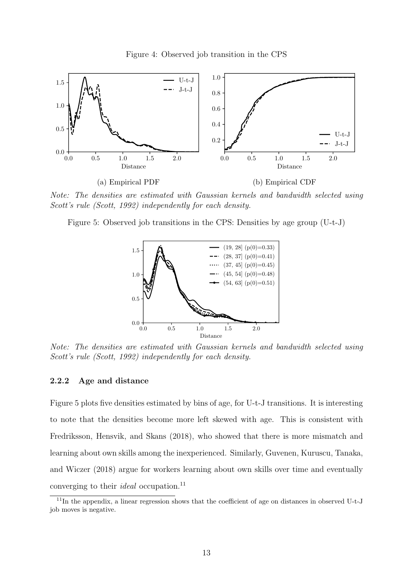<span id="page-13-0"></span>

Note: The densities are estimated with Gaussian kernels and bandwidth selected using Scott's rule [\(Scott, 1992\)](#page-39-5) independently for each density.

<span id="page-13-1"></span>Figure 5: Observed job transitions in the CPS: Densities by age group (U-t-J)



Note: The densities are estimated with Gaussian kernels and bandwidth selected using Scott's rule [\(Scott, 1992\)](#page-39-5) independently for each density.

#### 2.2.2 Age and distance

Figure [5](#page-13-1) plots five densities estimated by bins of age, for U-t-J transitions. It is interesting to note that the densities become more left skewed with age. This is consistent with [Fredriksson, Hensvik, and Skans](#page-36-4) [\(2018\)](#page-36-4), who showed that there is more mismatch and learning about own skills among the inexperienced. Similarly, [Guvenen, Kuruscu, Tanaka,](#page-36-0) [and Wiczer](#page-36-0) [\(2018\)](#page-36-0) argue for workers learning about own skills over time and eventually converging to their *ideal* occupation.<sup>[11](#page-13-2)</sup>

<span id="page-13-2"></span><sup>11</sup>In the appendix, a linear regression shows that the coefficient of age on distances in observed U-t-J job moves is negative.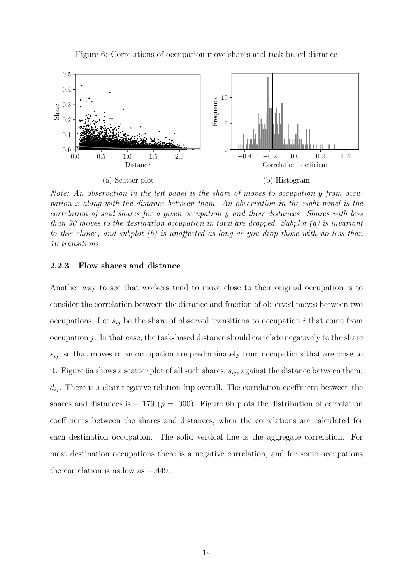<span id="page-14-0"></span>

Figure 6: Correlations of occupation move shares and task-based distance

Note: An observation in the left panel is the share of moves to occupation y from occupation x along with the distance between them. An observation in the right panel is the correlation of said shares for a given occupation y and their distances. Shares with less than 30 moves to the destination occupation in total are dropped. Subplot (a) is invariant to this choice, and subplot (b) is unaffected as long as you drop those with no less than 10 transitions.

#### 2.2.3 Flow shares and distance

Another way to see that workers tend to move close to their original occupation is to consider the correlation between the distance and fraction of observed moves between two occupations. Let  $s_{ij}$  be the share of observed transitions to occupation i that come from occupation  $j$ . In that case, the task-based distance should correlate negatively to the share  $s_{ij}$ , so that moves to an occupation are predominately from occupations that are close to it. Figure [6a](#page-14-0) shows a scatter plot of all such shares,  $s_{ij}$ , against the distance between them,  $d_{ij}$ . There is a clear negative relationship overall. The correlation coefficient between the shares and distances is  $-.179$  ( $p = .000$ ). Figure [6b](#page-14-0) plots the distribution of correlation coefficients between the shares and distances, when the correlations are calculated for each destination occupation. The solid vertical line is the aggregate correlation. For most destination occupations there is a negative correlation, and for some occupations the correlation is as low as −.449.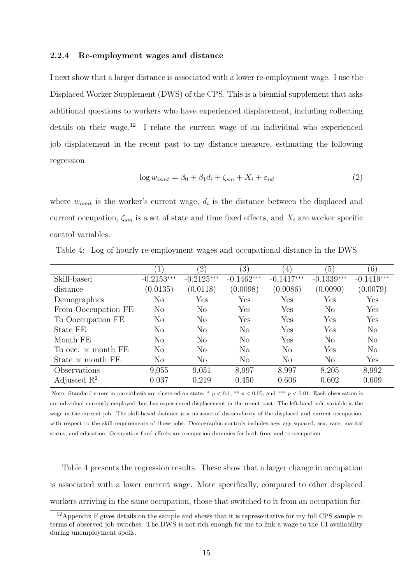#### 2.2.4 Re-employment wages and distance

I next show that a larger distance is associated with a lower re-employment wage. I use the Displaced Worker Supplement (DWS) of the CPS. This is a biennial supplement that asks additional questions to workers who have experienced displacement, including collecting details on their wage.<sup>[12](#page-15-0)</sup> I relate the current wage of an individual who experienced job displacement in the recent past to my distance measure, estimating the following regression

$$
\log w_{ismt} = \beta_0 + \beta_1 d_i + \zeta_{sm} + X_i + \varepsilon_{ist} \tag{2}
$$

where  $w_{ismt}$  is the worker's current wage,  $d_i$  is the distance between the displaced and current occupation,  $\zeta_{sm}$  is a set of state and time fixed effects, and  $X_i$  are worker specific control variables.

|                           | $\left  \right $ | $\left( 2\right)$ | $\left(3\right)$ | $\left( 4\right)$ | $\left(5\right)$ | (6)            |
|---------------------------|------------------|-------------------|------------------|-------------------|------------------|----------------|
| Skill-based               | $-0.2153***$     | $-0.2125***$      | $-0.1462***$     | $-0.1417***$      | $-0.1339***$     | $-0.1419***$   |
| distance                  | (0.0135)         | (0.0118)          | (0.0098)         | (0.0086)          | (0.0090)         | (0.0079)       |
| Demographics              | No               | Yes               | Yes              | Yes               | Yes              | Yes            |
| From Ooccupation FE       | No               | $\rm No$          | Yes              | Yes               | N <sub>o</sub>   | Yes            |
| To Ooccupation FE         | No               | No                | Yes              | Yes               | Yes              | Yes            |
| State FE                  | No               | No                | N <sub>o</sub>   | Yes               | Yes              | N <sub>o</sub> |
| Month FE                  | No               | No                | $\rm No$         | Yes               | No               | No             |
| To occ. $\times$ month FE | No               | No                | No               | No                | Yes              | No             |
| State $\times$ month FE   | No               | No                | N <sub>o</sub>   | No                | N <sub>o</sub>   | Yes            |
| Observations              | 9,055            | 9,051             | 8,997            | 8,997             | 8,205            | 8,992          |
| Adjusted $R^2$            | 0.037            | 0.219             | 0.450            | 0.606             | 0.602            | 0.609          |

<span id="page-15-1"></span>Table 4: Log of hourly re-employment wages and occupational distance in the DWS

Note: Standard errors in parenthesis are clustered on state. \*  $p < 0.1$ , \*\*  $p < 0.05$ , and \*\*\*  $p < 0.01$ . Each observation is an individual currently employed, but has experienced displacement in the recent past. The left-hand side variable is the wage in the current job. The skill-based distance is a measure of dis-similarity of the displaced and current occupation, with respect to the skill requirements of those jobs. Demographic controls includes age, age squared, sex, race, marital status, and education. Occupation fixed effects are occupation dummies for both from and to occupation.

Table [4](#page-15-1) presents the regression results. These show that a larger change in occupation is associated with a lower current wage. More specifically, compared to other displaced workers arriving in the same occupation, those that switched to it from an occupation fur-

<span id="page-15-0"></span><sup>12</sup>Appendix [F](#page-52-0) gives details on the sample and shows that it is representative for my full CPS sample in terms of observed job switches. The DWS is not rich enough for me to link a wage to the UI availability during unemployment spells.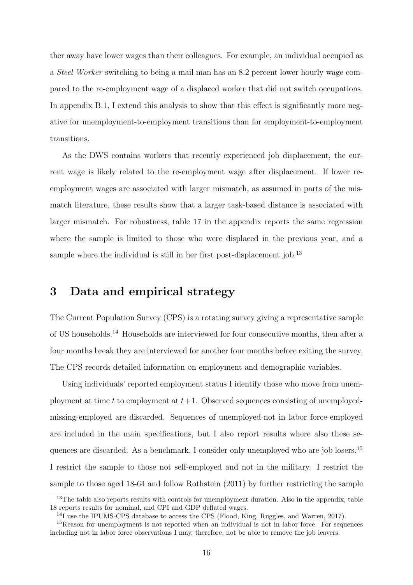ther away have lower wages than their colleagues. For example, an individual occupied as a Steel Worker switching to being a mail man has an 8.2 percent lower hourly wage compared to the re-employment wage of a displaced worker that did not switch occupations. In appendix [B.1,](#page-42-1) I extend this analysis to show that this effect is significantly more negative for unemployment-to-employment transitions than for employment-to-employment transitions.

As the DWS contains workers that recently experienced job displacement, the current wage is likely related to the re-employment wage after displacement. If lower reemployment wages are associated with larger mismatch, as assumed in parts of the mismatch literature, these results show that a larger task-based distance is associated with larger mismatch. For robustness, table [17](#page-54-0) in the appendix reports the same regression where the sample is limited to those who were displaced in the previous year, and a sample where the individual is still in her first post-displacement job.<sup>[13](#page-16-1)</sup>

### <span id="page-16-0"></span>3 Data and empirical strategy

The Current Population Survey (CPS) is a rotating survey giving a representative sample of US households.[14](#page-16-2) Households are interviewed for four consecutive months, then after a four months break they are interviewed for another four months before exiting the survey. The CPS records detailed information on employment and demographic variables.

Using individuals' reported employment status I identify those who move from unemployment at time t to employment at  $t+1$ . Observed sequences consisting of unemployedmissing-employed are discarded. Sequences of unemployed-not in labor force-employed are included in the main specifications, but I also report results where also these se-quences are discarded. As a benchmark, I consider only unemployed who are job losers.<sup>[15](#page-16-3)</sup> I restrict the sample to those not self-employed and not in the military. I restrict the sample to those aged 18-64 and follow [Rothstein](#page-38-0) [\(2011\)](#page-38-0) by further restricting the sample

<span id="page-16-1"></span><sup>&</sup>lt;sup>13</sup>The table also reports results with controls for unemployment duration. Also in the appendix, table [18](#page-55-0) reports results for nominal, and CPI and GDP deflated wages.

<span id="page-16-3"></span><span id="page-16-2"></span><sup>&</sup>lt;sup>14</sup>I use the IPUMS-CPS database to access the CPS [\(Flood, King, Ruggles, and Warren, 2017\)](#page-36-5).

<sup>&</sup>lt;sup>15</sup>Reason for unemployment is not reported when an individual is not in labor force. For sequences including not in labor force observations I may, therefore, not be able to remove the job leavers.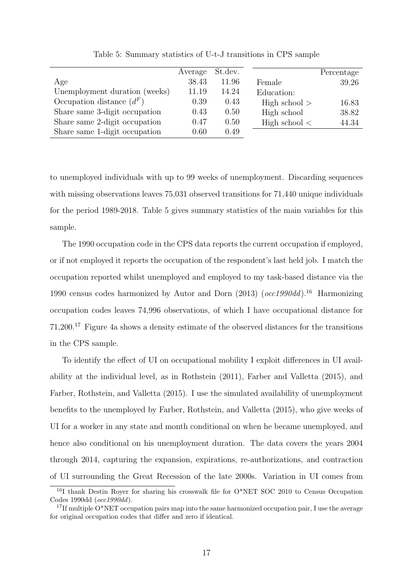<span id="page-17-0"></span>

|                               | Average | St.dev. |                   | Percentage |
|-------------------------------|---------|---------|-------------------|------------|
| Age                           | 38.43   | 11.96   | Female            | 39.26      |
| Unemployment duration (weeks) | 11.19   | 14.24   | Education:        |            |
| Occupation distance $(d^F)$   | 0.39    | 0.43    | High school $>$   | 16.83      |
| Share same 3-digit occupation | 0.43    | 0.50    | High school       | 38.82      |
| Share same 2-digit occupation | 0.47    | 0.50    | High school $\lt$ | 44.34      |
| Share same 1-digit occupation | 0.60    | 0.49    |                   |            |

Table 5: Summary statistics of U-t-J transitions in CPS sample

to unemployed individuals with up to 99 weeks of unemployment. Discarding sequences with missing observations leaves 75,031 observed transitions for 71,440 unique individuals for the period 1989-2018. Table [5](#page-17-0) gives summary statistics of the main variables for this sample.

The 1990 occupation code in the CPS data reports the current occupation if employed, or if not employed it reports the occupation of the respondent's last held job. I match the occupation reported whilst unemployed and employed to my task-based distance via the 1990 census codes harmonized by [Autor and Dorn](#page-34-9)  $(2013)$   $(occ1990dd)^{16}$  $(occ1990dd)^{16}$  $(occ1990dd)^{16}$  Harmonizing occupation codes leaves 74,996 observations, of which I have occupational distance for 71,200.[17](#page-17-2) Figure [4a](#page-13-0) shows a density estimate of the observed distances for the transitions in the CPS sample.

To identify the effect of UI on occupational mobility I exploit differences in UI availability at the individual level, as in [Rothstein](#page-38-0) [\(2011\)](#page-38-0), [Farber and Valletta](#page-36-1) [\(2015\)](#page-36-1), and [Farber, Rothstein, and Valletta](#page-35-1) [\(2015\)](#page-35-1). I use the simulated availability of unemployment benefits to the unemployed by [Farber, Rothstein, and Valletta](#page-35-1) [\(2015\)](#page-35-1), who give weeks of UI for a worker in any state and month conditional on when he became unemployed, and hence also conditional on his unemployment duration. The data covers the years 2004 through 2014, capturing the expansion, expirations, re-authorizations, and contraction of UI surrounding the Great Recession of the late 2000s. Variation in UI comes from

<span id="page-17-1"></span><sup>&</sup>lt;sup>16</sup>I thank Destin Rover for sharing his crosswalk file for O\*NET SOC 2010 to Census Occupation Codes 1990dd (occ1990dd).

<span id="page-17-2"></span><sup>&</sup>lt;sup>17</sup>If multiple  $O^*NET$  occupation pairs map into the same harmonized occupation pair, I use the average for original occupation codes that differ and zero if identical.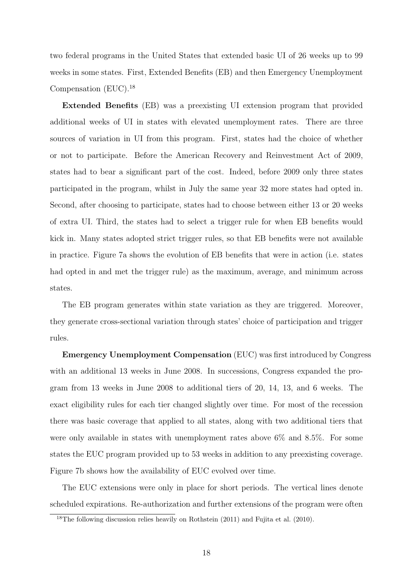two federal programs in the United States that extended basic UI of 26 weeks up to 99 weeks in some states. First, Extended Benefits (EB) and then Emergency Unemployment Compensation (EUC).[18](#page-18-0)

Extended Benefits (EB) was a preexisting UI extension program that provided additional weeks of UI in states with elevated unemployment rates. There are three sources of variation in UI from this program. First, states had the choice of whether or not to participate. Before the American Recovery and Reinvestment Act of 2009, states had to bear a significant part of the cost. Indeed, before 2009 only three states participated in the program, whilst in July the same year 32 more states had opted in. Second, after choosing to participate, states had to choose between either 13 or 20 weeks of extra UI. Third, the states had to select a trigger rule for when EB benefits would kick in. Many states adopted strict trigger rules, so that EB benefits were not available in practice. Figure [7a](#page-19-0) shows the evolution of EB benefits that were in action (i.e. states had opted in and met the trigger rule) as the maximum, average, and minimum across states.

The EB program generates within state variation as they are triggered. Moreover, they generate cross-sectional variation through states' choice of participation and trigger rules.

Emergency Unemployment Compensation (EUC) was first introduced by Congress with an additional 13 weeks in June 2008. In successions, Congress expanded the program from 13 weeks in June 2008 to additional tiers of 20, 14, 13, and 6 weeks. The exact eligibility rules for each tier changed slightly over time. For most of the recession there was basic coverage that applied to all states, along with two additional tiers that were only available in states with unemployment rates above 6% and 8.5%. For some states the EUC program provided up to 53 weeks in addition to any preexisting coverage. Figure [7b](#page-19-0) shows how the availability of EUC evolved over time.

The EUC extensions were only in place for short periods. The vertical lines denote scheduled expirations. Re-authorization and further extensions of the program were often

<span id="page-18-0"></span><sup>&</sup>lt;sup>18</sup>The following discussion relies heavily on [Rothstein](#page-38-0) [\(2011\)](#page-38-0) and [Fujita et al.](#page-36-6) [\(2010\)](#page-36-6).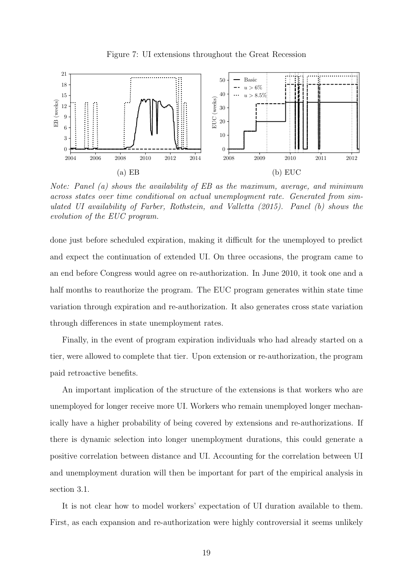<span id="page-19-0"></span>

Note: Panel (a) shows the availability of EB as the maximum, average, and minimum across states over time conditional on actual unemployment rate. Generated from simulated UI availability of [Farber, Rothstein, and Valletta](#page-35-1) [\(2015\)](#page-35-1). Panel (b) shows the evolution of the EUC program.

done just before scheduled expiration, making it difficult for the unemployed to predict and expect the continuation of extended UI. On three occasions, the program came to an end before Congress would agree on re-authorization. In June 2010, it took one and a half months to reauthorize the program. The EUC program generates within state time variation through expiration and re-authorization. It also generates cross state variation through differences in state unemployment rates.

Finally, in the event of program expiration individuals who had already started on a tier, were allowed to complete that tier. Upon extension or re-authorization, the program paid retroactive benefits.

An important implication of the structure of the extensions is that workers who are unemployed for longer receive more UI. Workers who remain unemployed longer mechanically have a higher probability of being covered by extensions and re-authorizations. If there is dynamic selection into longer unemployment durations, this could generate a positive correlation between distance and UI. Accounting for the correlation between UI and unemployment duration will then be important for part of the empirical analysis in section [3.1.](#page-20-0)

It is not clear how to model workers' expectation of UI duration available to them. First, as each expansion and re-authorization were highly controversial it seems unlikely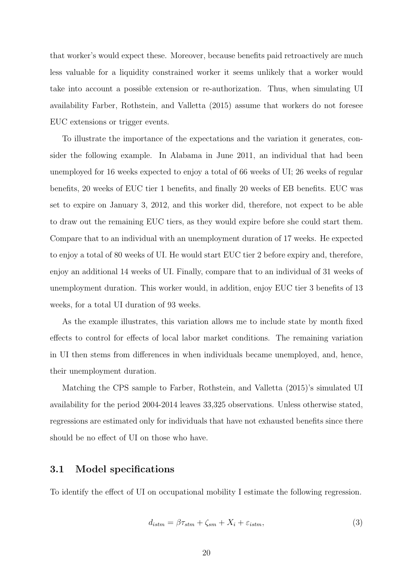that worker's would expect these. Moreover, because benefits paid retroactively are much less valuable for a liquidity constrained worker it seems unlikely that a worker would take into account a possible extension or re-authorization. Thus, when simulating UI availability [Farber, Rothstein, and Valletta](#page-35-1) [\(2015\)](#page-35-1) assume that workers do not foresee EUC extensions or trigger events.

To illustrate the importance of the expectations and the variation it generates, consider the following example. In Alabama in June 2011, an individual that had been unemployed for 16 weeks expected to enjoy a total of 66 weeks of UI; 26 weeks of regular benefits, 20 weeks of EUC tier 1 benefits, and finally 20 weeks of EB benefits. EUC was set to expire on January 3, 2012, and this worker did, therefore, not expect to be able to draw out the remaining EUC tiers, as they would expire before she could start them. Compare that to an individual with an unemployment duration of 17 weeks. He expected to enjoy a total of 80 weeks of UI. He would start EUC tier 2 before expiry and, therefore, enjoy an additional 14 weeks of UI. Finally, compare that to an individual of 31 weeks of unemployment duration. This worker would, in addition, enjoy EUC tier 3 benefits of 13 weeks, for a total UI duration of 93 weeks.

As the example illustrates, this variation allows me to include state by month fixed effects to control for effects of local labor market conditions. The remaining variation in UI then stems from differences in when individuals became unemployed, and, hence, their unemployment duration.

Matching the CPS sample to [Farber, Rothstein, and Valletta](#page-35-1) [\(2015\)](#page-35-1)'s simulated UI availability for the period 2004-2014 leaves 33,325 observations. Unless otherwise stated, regressions are estimated only for individuals that have not exhausted benefits since there should be no effect of UI on those who have.

#### <span id="page-20-0"></span>3.1 Model specifications

To identify the effect of UI on occupational mobility I estimate the following regression.

<span id="page-20-1"></span>
$$
d_{istm} = \beta \tau_{stm} + \zeta_{sm} + X_i + \varepsilon_{istm}, \tag{3}
$$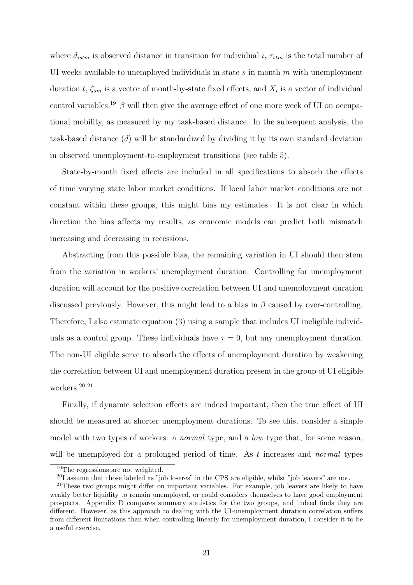where  $d_{istm}$  is observed distance in transition for individual i,  $\tau_{stm}$  is the total number of UI weeks available to unemployed individuals in state  $s$  in month  $m$  with unemployment duration t,  $\zeta_{sm}$  is a vector of month-by-state fixed effects, and  $X_i$  is a vector of individual control variables.<sup>[19](#page-21-0)</sup>  $\beta$  will then give the average effect of one more week of UI on occupational mobility, as measured by my task-based distance. In the subsequent analysis, the task-based distance (d) will be standardized by dividing it by its own standard deviation in observed unemployment-to-employment transitions (see table [5\)](#page-17-0).

State-by-month fixed effects are included in all specifications to absorb the effects of time varying state labor market conditions. If local labor market conditions are not constant within these groups, this might bias my estimates. It is not clear in which direction the bias affects my results, as economic models can predict both mismatch increasing and decreasing in recessions.

Abstracting from this possible bias, the remaining variation in UI should then stem from the variation in workers' unemployment duration. Controlling for unemployment duration will account for the positive correlation between UI and unemployment duration discussed previously. However, this might lead to a bias in  $\beta$  caused by over-controlling. Therefore, I also estimate equation [\(3\)](#page-20-1) using a sample that includes UI ineligible individuals as a control group. These individuals have  $\tau = 0$ , but any unemployment duration. The non-UI eligible serve to absorb the effects of unemployment duration by weakening the correlation between UI and unemployment duration present in the group of UI eligible workers.<sup>[20](#page-21-1),[21](#page-21-2)</sup>

Finally, if dynamic selection effects are indeed important, then the true effect of UI should be measured at shorter unemployment durations. To see this, consider a simple model with two types of workers: a *normal* type, and a *low* type that, for some reason, will be unemployed for a prolonged period of time. As t increases and *normal* types

<span id="page-21-0"></span><sup>&</sup>lt;sup>19</sup>The regressions are not weighted.

<span id="page-21-2"></span><span id="page-21-1"></span> $^{20}$ I assume that those labeled as "job loseres" in the CPS are eligible, whilst "job leavers" are not.

<sup>&</sup>lt;sup>21</sup>These two groups might differ on important variables. For example, job leavers are likely to have weakly better liquidity to remain unemployed, or could considers themselves to have good employment prospects. Appendix [D](#page-51-0) compares summary statistics for the two groups, and indeed finds they are different. However, as this approach to dealing with the UI-unemployment duration correlation suffers from different limitations than when controlling linearly for unemployment duration, I consider it to be a useful exercise.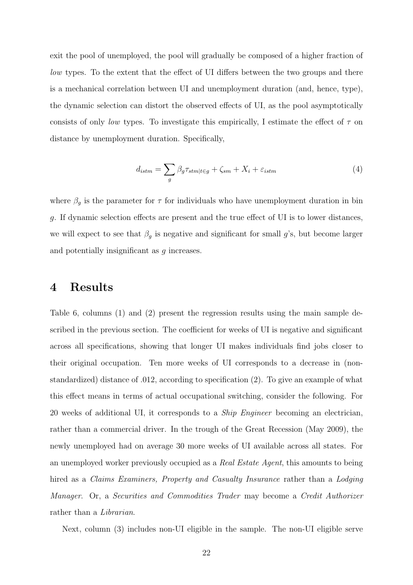exit the pool of unemployed, the pool will gradually be composed of a higher fraction of low types. To the extent that the effect of UI differs between the two groups and there is a mechanical correlation between UI and unemployment duration (and, hence, type), the dynamic selection can distort the observed effects of UI, as the pool asymptotically consists of only low types. To investigate this empirically, I estimate the effect of  $\tau$  on distance by unemployment duration. Specifically,

<span id="page-22-1"></span>
$$
d_{istm} = \sum_{g} \beta_g \tau_{stm|t \in g} + \zeta_{sm} + X_i + \varepsilon_{istm}
$$
\n<sup>(4)</sup>

where  $\beta_g$  is the parameter for  $\tau$  for individuals who have unemployment duration in bin g. If dynamic selection effects are present and the true effect of UI is to lower distances, we will expect to see that  $\beta_g$  is negative and significant for small g's, but become larger and potentially insignificant as g increases.

### <span id="page-22-0"></span>4 Results

Table [6,](#page-23-0) columns (1) and (2) present the regression results using the main sample described in the previous section. The coefficient for weeks of UI is negative and significant across all specifications, showing that longer UI makes individuals find jobs closer to their original occupation. Ten more weeks of UI corresponds to a decrease in (nonstandardized) distance of .012, according to specification (2). To give an example of what this effect means in terms of actual occupational switching, consider the following. For 20 weeks of additional UI, it corresponds to a Ship Engineer becoming an electrician, rather than a commercial driver. In the trough of the Great Recession (May 2009), the newly unemployed had on average 30 more weeks of UI available across all states. For an unemployed worker previously occupied as a Real Estate Agent, this amounts to being hired as a *Claims Examiners, Property and Casualty Insurance* rather than a *Lodging* Manager. Or, a Securities and Commodities Trader may become a Credit Authorizer rather than a *Librarian*.

Next, column (3) includes non-UI eligible in the sample. The non-UI eligible serve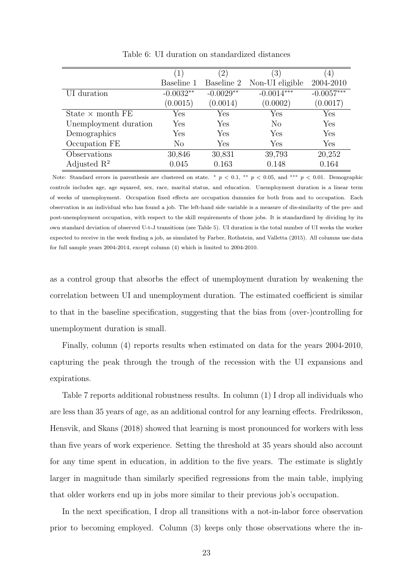<span id="page-23-0"></span>

|                         | $\left(1\right)$ | $^{\prime}2)$ | $\left(3\right)$     | 4)           |
|-------------------------|------------------|---------------|----------------------|--------------|
|                         | Baseline 1       | Baseline 2    | Non-UI eligible      | 2004-2010    |
| UI duration             | $-0.0032**$      | $-0.0029**$   | $-0.0014***$         | $-0.0057***$ |
|                         | (0.0015)         | (0.0014)      | (0.0002)             | (0.0017)     |
| State $\times$ month FE | Yes              | Yes           | $\operatorname{Yes}$ | Yes          |
| Unemployment duration   | Yes              | Yes           | $\rm No$             | Yes          |
| Demographics            | Yes              | Yes           | Yes                  | Yes          |
| Occupation FE           | No               | Yes           | Yes                  | Yes          |
| Observations            | 30,846           | 30,831        | 39,793               | 20,252       |
| Adjusted $\mathbb{R}^2$ | 0.045            | 0.163         | 0.148                | 0.164        |

Table 6: UI duration on standardized distances

Note: Standard errors in parenthesis are clustered on state. \*  $p < 0.1$ , \*\*  $p < 0.05$ , and \*\*\*  $p < 0.01$ . Demographic controls includes age, age squared, sex, race, marital status, and education. Unemployment duration is a linear term of weeks of unemployment. Occupation fixed effects are occupation dummies for both from and to occupation. Each observation is an individual who has found a job. The left-hand side variable is a measure of dis-similarity of the pre- and post-unemployment occupation, with respect to the skill requirements of those jobs. It is standardized by dividing by its own standard deviation of observed U-t-J transitions (see Table [5\)](#page-17-0). UI duration is the total number of UI weeks the worker expected to receive in the week finding a job, as simulated by [Farber, Rothstein, and Valletta](#page-35-1) [\(2015\)](#page-35-1). All columns use data for full sample years 2004-2014, except column (4) which is limited to 2004-2010.

as a control group that absorbs the effect of unemployment duration by weakening the correlation between UI and unemployment duration. The estimated coefficient is similar to that in the baseline specification, suggesting that the bias from (over-)controlling for unemployment duration is small.

Finally, column (4) reports results when estimated on data for the years 2004-2010, capturing the peak through the trough of the recession with the UI expansions and expirations.

Table [7](#page-24-0) reports additional robustness results. In column (1) I drop all individuals who are less than 35 years of age, as an additional control for any learning effects. [Fredriksson,](#page-36-4) [Hensvik, and Skans](#page-36-4) [\(2018\)](#page-36-4) showed that learning is most pronounced for workers with less than five years of work experience. Setting the threshold at 35 years should also account for any time spent in education, in addition to the five years. The estimate is slightly larger in magnitude than similarly specified regressions from the main table, implying that older workers end up in jobs more similar to their previous job's occupation.

In the next specification, I drop all transitions with a not-in-labor force observation prior to becoming employed. Column (3) keeps only those observations where the in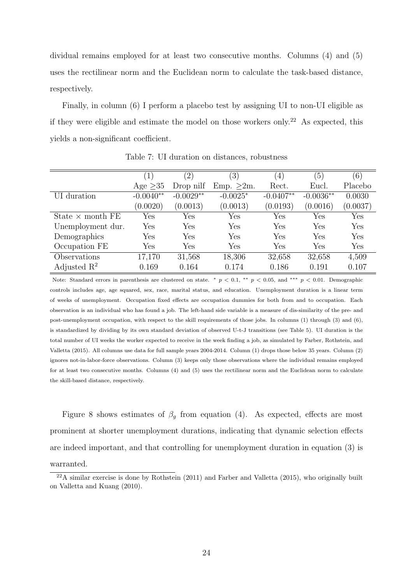dividual remains employed for at least two consecutive months. Columns (4) and (5) uses the rectilinear norm and the Euclidean norm to calculate the task-based distance, respectively.

Finally, in column (6) I perform a placebo test by assigning UI to non-UI eligible as if they were eligible and estimate the model on those workers only.[22](#page-24-1) As expected, this yields a non-significant coefficient.

<span id="page-24-0"></span>

|                         | $\left(1\right)$     | $^{\prime}2)$        | $\mathfrak{Z}^{\lambda}$ | $\left(4\right)$ | $\left(5\right)$ | (6)      |
|-------------------------|----------------------|----------------------|--------------------------|------------------|------------------|----------|
|                         | Age $>35$            | Drop nilf            | Emp. >2m.                | Rect.            | Eucl.            | Placebo  |
| UI duration             | $-0.0040**$          | $-0.0029**$          | $-0.0025*$               | $-0.0407**$      | $-0.0036**$      | 0.0030   |
|                         | (0.0020)             | (0.0013)             | (0.0013)                 | (0.0193)         | (0.0016)         | (0.0037) |
| State $\times$ month FE | $\operatorname{Yes}$ | $\operatorname{Yes}$ | Yes                      | Yes              | Yes              | Yes      |
| Unemployment dur.       | Yes                  | Yes                  | Yes                      | Yes              | Yes              | Yes      |
| Demographics            | Yes                  | Yes                  | Yes                      | Yes              | Yes              | Yes      |
| Occupation FE           | Yes                  | Yes                  | Yes                      | Yes              | Yes              | Yes      |
| Observations            | 17,170               | 31,568               | 18,306                   | 32,658           | 32,658           | 4,509    |
| Adjusted $\mathbb{R}^2$ | 0.169                | 0.164                | 0.174                    | 0.186            | 0.191            | 0.107    |

Table 7: UI duration on distances, robustness

Note: Standard errors in parenthesis are clustered on state. \*  $p < 0.1$ , \*\*  $p < 0.05$ , and \*\*\*  $p < 0.01$ . Demographic controls includes age, age squared, sex, race, marital status, and education. Unemployment duration is a linear term of weeks of unemployment. Occupation fixed effects are occupation dummies for both from and to occupation. Each observation is an individual who has found a job. The left-hand side variable is a measure of dis-similarity of the pre- and post-unemployment occupation, with respect to the skill requirements of those jobs. In columns (1) through (3) and (6), is standardized by dividing by its own standard deviation of observed U-t-J transitions (see Table [5\)](#page-17-0). UI duration is the total number of UI weeks the worker expected to receive in the week finding a job, as simulated by [Farber, Rothstein, and](#page-35-1) [Valletta](#page-35-1) [\(2015\)](#page-35-1). All columns use data for full sample years 2004-2014. Column (1) drops those below 35 years. Column (2) ignores not-in-labor-force observations. Column (3) keeps only those observations where the individual remains employed for at least two consecutive months. Columns (4) and (5) uses the rectilinear norm and the Euclidean norm to calculate the skill-based distance, respectively.

Figure [8](#page-25-0) shows estimates of  $\beta_q$  from equation [\(4\)](#page-22-1). As expected, effects are most prominent at shorter unemployment durations, indicating that dynamic selection effects are indeed important, and that controlling for unemployment duration in equation [\(3\)](#page-20-1) is warranted.

<span id="page-24-1"></span> $22A$  similar exercise is done by [Rothstein](#page-38-0) [\(2011\)](#page-38-0) and [Farber and Valletta](#page-36-1) [\(2015\)](#page-36-1), who originally built on [Valletta and Kuang](#page-39-6) [\(2010\)](#page-39-6).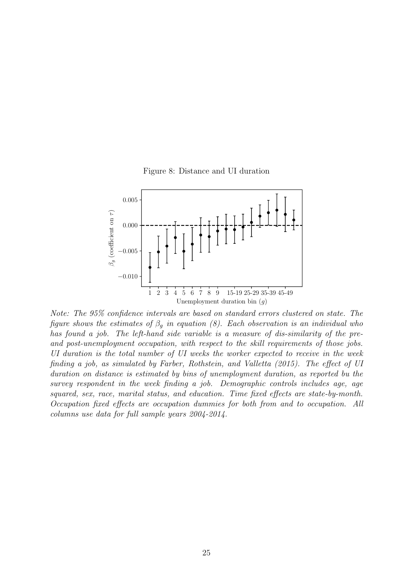

<span id="page-25-0"></span>

Note: The 95% confidence intervals are based on standard errors clustered on state. The figure shows the estimates of  $\beta_q$  in equation [\(8\)](#page-25-0). Each observation is an individual who has found a job. The left-hand side variable is a measure of dis-similarity of the preand post-unemployment occupation, with respect to the skill requirements of those jobs. UI duration is the total number of UI weeks the worker expected to receive in the week finding a job, as simulated by [Farber, Rothstein, and Valletta](#page-35-1) [\(2015\)](#page-35-1). The effect of UI duration on distance is estimated by bins of unemployment duration, as reported bu the survey respondent in the week finding a job. Demographic controls includes age, age squared, sex, race, marital status, and education. Time fixed effects are state-by-month. Occupation fixed effects are occupation dummies for both from and to occupation. All columns use data for full sample years 2004-2014.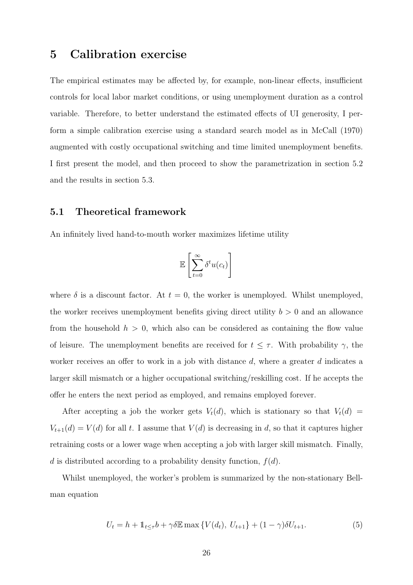# <span id="page-26-0"></span>5 Calibration exercise

The empirical estimates may be affected by, for example, non-linear effects, insufficient controls for local labor market conditions, or using unemployment duration as a control variable. Therefore, to better understand the estimated effects of UI generosity, I perform a simple calibration exercise using a standard search model as in [McCall](#page-37-1) [\(1970\)](#page-37-1) augmented with costly occupational switching and time limited unemployment benefits. I first present the model, and then proceed to show the parametrization in section [5.2](#page-28-0) and the results in section [5.3.](#page-30-0)

### 5.1 Theoretical framework

An infinitely lived hand-to-mouth worker maximizes lifetime utility

$$
\mathbb{E}\left[\sum_{t=0}^{\infty} \delta^t u(c_t)\right]
$$

where  $\delta$  is a discount factor. At  $t = 0$ , the worker is unemployed. Whilst unemployed, the worker receives unemployment benefits giving direct utility  $b > 0$  and an allowance from the household  $h > 0$ , which also can be considered as containing the flow value of leisure. The unemployment benefits are received for  $t \leq \tau$ . With probability  $\gamma$ , the worker receives an offer to work in a job with distance  $d$ , where a greater  $d$  indicates a larger skill mismatch or a higher occupational switching/reskilling cost. If he accepts the offer he enters the next period as employed, and remains employed forever.

After accepting a job the worker gets  $V_t(d)$ , which is stationary so that  $V_t(d)$  $V_{t+1}(d) = V(d)$  for all t. I assume that  $V(d)$  is decreasing in d, so that it captures higher retraining costs or a lower wage when accepting a job with larger skill mismatch. Finally, d is distributed according to a probability density function,  $f(d)$ .

Whilst unemployed, the worker's problem is summarized by the non-stationary Bellman equation

$$
U_t = h + \mathbb{1}_{t \le \tau} b + \gamma \delta \mathbb{E} \max \{ V(d_t), \ U_{t+1} \} + (1 - \gamma) \delta U_{t+1}.
$$
 (5)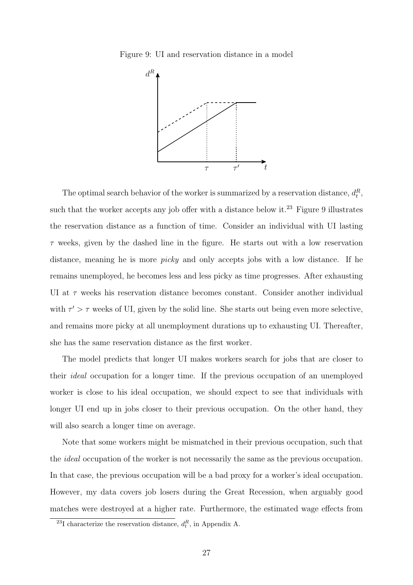<span id="page-27-1"></span>Figure 9: UI and reservation distance in a model



The optimal search behavior of the worker is summarized by a reservation distance,  $d_t^R$ , such that the worker accepts any job offer with a distance below it.<sup>[23](#page-27-0)</sup> Figure [9](#page-27-1) illustrates the reservation distance as a function of time. Consider an individual with UI lasting  $\tau$  weeks, given by the dashed line in the figure. He starts out with a low reservation distance, meaning he is more picky and only accepts jobs with a low distance. If he remains unemployed, he becomes less and less picky as time progresses. After exhausting UI at  $\tau$  weeks his reservation distance becomes constant. Consider another individual with  $\tau' > \tau$  weeks of UI, given by the solid line. She starts out being even more selective, and remains more picky at all unemployment durations up to exhausting UI. Thereafter, she has the same reservation distance as the first worker.

The model predicts that longer UI makes workers search for jobs that are closer to their ideal occupation for a longer time. If the previous occupation of an unemployed worker is close to his ideal occupation, we should expect to see that individuals with longer UI end up in jobs closer to their previous occupation. On the other hand, they will also search a longer time on average.

Note that some workers might be mismatched in their previous occupation, such that the ideal occupation of the worker is not necessarily the same as the previous occupation. In that case, the previous occupation will be a bad proxy for a worker's ideal occupation. However, my data covers job losers during the Great Recession, when arguably good matches were destroyed at a higher rate. Furthermore, the estimated wage effects from

<span id="page-27-0"></span><sup>&</sup>lt;sup>23</sup>I characterize the reservation distance,  $d_t^R$ , in Appendix [A.](#page-40-0)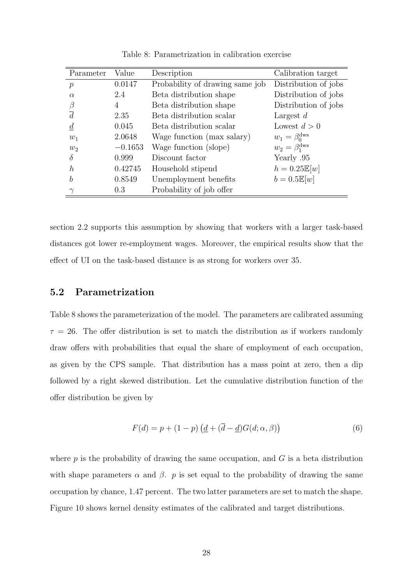<span id="page-28-1"></span>

| Parameter        | Value     | Description                     | Calibration target           |
|------------------|-----------|---------------------------------|------------------------------|
| $\boldsymbol{p}$ | 0.0147    | Probability of drawing same job | Distribution of jobs         |
| $\alpha$         | 2.4       | Beta distribution shape         | Distribution of jobs         |
| β                | 4         | Beta distribution shape         | Distribution of jobs         |
| $\overline{d}$   | 2.35      | Beta distribution scalar        | Largest $d$                  |
| $\overline{d}$   | 0.045     | Beta distribution scalar        | Lowest $d > 0$               |
| $w_1$            | 2.0648    | Wage function (max salary)      | $w_1 = \beta_0^{\text{dws}}$ |
| $w_2$            | $-0.1653$ | Wage function (slope)           | $w_2 = \beta_1^{\text{dws}}$ |
| δ                | 0.999     | Discount factor                 | Yearly .95                   |
| h                | 0.42745   | Household stipend               | $h = 0.25\mathbb{E}[w]$      |
| b                | 0.8549    | Unemployment benefits           | $b = 0.5\mathbb{E}[w]$       |
|                  | 0.3       | Probability of job offer        |                              |

Table 8: Parametrization in calibration exercise

section [2.2](#page-11-1) supports this assumption by showing that workers with a larger task-based distances got lower re-employment wages. Moreover, the empirical results show that the effect of UI on the task-based distance is as strong for workers over 35.

#### <span id="page-28-0"></span>5.2 Parametrization

Table [8](#page-28-1) shows the parameterization of the model. The parameters are calibrated assuming  $\tau = 26$ . The offer distribution is set to match the distribution as if workers randomly draw offers with probabilities that equal the share of employment of each occupation, as given by the CPS sample. That distribution has a mass point at zero, then a dip followed by a right skewed distribution. Let the cumulative distribution function of the offer distribution be given by

$$
F(d) = p + (1 - p) \left( \underline{d} + (\overline{d} - \underline{d}) G(d; \alpha, \beta) \right)
$$
 (6)

where  $p$  is the probability of drawing the same occupation, and  $G$  is a beta distribution with shape parameters  $\alpha$  and  $\beta$ . p is set equal to the probability of drawing the same occupation by chance, 1.47 percent. The two latter parameters are set to match the shape. Figure [10](#page-29-0) shows kernel density estimates of the calibrated and target distributions.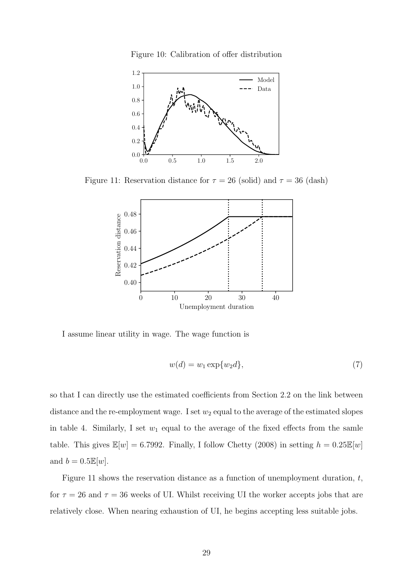Figure 10: Calibration of offer distribution

<span id="page-29-0"></span>

<span id="page-29-1"></span>Figure 11: Reservation distance for  $\tau = 26$  (solid) and  $\tau = 36$  (dash)



I assume linear utility in wage. The wage function is

$$
w(d) = w_1 \exp\{w_2 d\},\tag{7}
$$

so that I can directly use the estimated coefficients from Section [2.2](#page-11-1) on the link between distance and the re-employment wage. I set  $w_2$  equal to the average of the estimated slopes in table [4.](#page-15-1) Similarly, I set  $w_1$  equal to the average of the fixed effects from the samle table. This gives  $\mathbb{E}[w] = 6.7992$ . Finally, I follow [Chetty](#page-35-0) [\(2008\)](#page-35-0) in setting  $h = 0.25\mathbb{E}[w]$ and  $b = 0.5\mathbb{E}[w]$ .

Figure [11](#page-29-1) shows the reservation distance as a function of unemployment duration,  $t$ , for  $\tau = 26$  and  $\tau = 36$  weeks of UI. Whilst receiving UI the worker accepts jobs that are relatively close. When nearing exhaustion of UI, he begins accepting less suitable jobs.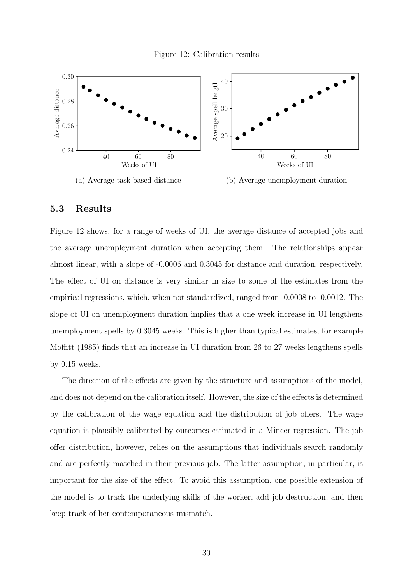<span id="page-30-1"></span>

#### <span id="page-30-0"></span>5.3 Results

Figure [12](#page-30-1) shows, for a range of weeks of UI, the average distance of accepted jobs and the average unemployment duration when accepting them. The relationships appear almost linear, with a slope of -0.0006 and 0.3045 for distance and duration, respectively. The effect of UI on distance is very similar in size to some of the estimates from the empirical regressions, which, when not standardized, ranged from -0.0008 to -0.0012. The slope of UI on unemployment duration implies that a one week increase in UI lengthens unemployment spells by 0.3045 weeks. This is higher than typical estimates, for example [Moffitt](#page-38-9) [\(1985\)](#page-38-9) finds that an increase in UI duration from 26 to 27 weeks lengthens spells by 0.15 weeks.

The direction of the effects are given by the structure and assumptions of the model, and does not depend on the calibration itself. However, the size of the effects is determined by the calibration of the wage equation and the distribution of job offers. The wage equation is plausibly calibrated by outcomes estimated in a Mincer regression. The job offer distribution, however, relies on the assumptions that individuals search randomly and are perfectly matched in their previous job. The latter assumption, in particular, is important for the size of the effect. To avoid this assumption, one possible extension of the model is to track the underlying skills of the worker, add job destruction, and then keep track of her contemporaneous mismatch.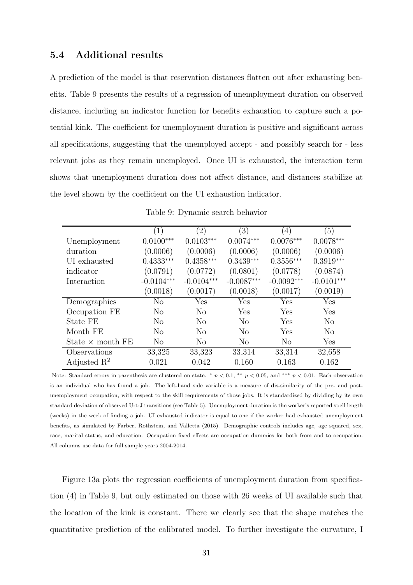### 5.4 Additional results

A prediction of the model is that reservation distances flatten out after exhausting benefits. Table [9](#page-31-0) presents the results of a regression of unemployment duration on observed distance, including an indicator function for benefits exhaustion to capture such a potential kink. The coefficient for unemployment duration is positive and significant across all specifications, suggesting that the unemployed accept - and possibly search for - less relevant jobs as they remain unemployed. Once UI is exhausted, the interaction term shows that unemployment duration does not affect distance, and distances stabilize at the level shown by the coefficient on the UI exhaustion indicator.

<span id="page-31-0"></span>

|                         | $\left(1\right)$ | $^{\prime}2)$  | $\left( 3\right)$ | $\left(4\right)$ | $\left(5\right)$ |
|-------------------------|------------------|----------------|-------------------|------------------|------------------|
| Unemployment            | $0.0100***$      | $0.0103***$    | $0.0074***$       | $0.0076***$      | $0.0078***$      |
| duration                | (0.0006)         | (0.0006)       | (0.0006)          | (0.0006)         | (0.0006)         |
| UI exhausted            | $0.4333***$      | $0.4358***$    | $0.3439***$       | $0.3556***$      | $0.3919***$      |
| indicator               | (0.0791)         | (0.0772)       | (0.0801)          | (0.0778)         | (0.0874)         |
| Interaction             | $-0.0104***$     | $-0.0104***$   | $-0.0087***$      | $-0.0092***$     | $-0.0101***$     |
|                         | (0.0018)         | (0.0017)       | (0.0018)          | (0.0017)         | (0.0019)         |
| Demographics            | No               | Yes            | Yes               | Yes              | Yes              |
| Occupation FE           | N <sub>o</sub>   | N <sub>o</sub> | Yes               | Yes              | Yes              |
| State FE                | N <sub>o</sub>   | $\rm No$       | No                | Yes              | No               |
| Month FE                | N <sub>o</sub>   | N <sub>o</sub> | $\rm No$          | Yes              | $\rm No$         |
| State $\times$ month FE | N <sub>o</sub>   | N <sub>o</sub> | N <sub>o</sub>    | N <sub>o</sub>   | Yes              |
| Observations            | 33,325           | 33,323         | 33,314            | 33,314           | 32,658           |
| Adjusted $\mathbb{R}^2$ | 0.021            | 0.042          | 0.160             | 0.163            | 0.162            |

Table 9: Dynamic search behavior

Note: Standard errors in parenthesis are clustered on state.  $* p < 0.1, ** p < 0.05$ , and  $*** p < 0.01$ . Each observation is an individual who has found a job. The left-hand side variable is a measure of dis-similarity of the pre- and postunemployment occupation, with respect to the skill requirements of those jobs. It is standardized by dividing by its own standard deviation of observed U-t-J transitions (see Table [5\)](#page-17-0). Unemployment duration is the worker's reported spell length (weeks) in the week of finding a job. UI exhausted indicator is equal to one if the worker had exhausted unemployment benefits, as simulated by [Farber, Rothstein, and Valletta](#page-35-1) [\(2015\)](#page-35-1). Demographic controls includes age, age squared, sex, race, marital status, and education. Occupation fixed effects are occupation dummies for both from and to occupation. All columns use data for full sample years 2004-2014.

Figure [13a](#page-32-1) plots the regression coefficients of unemployment duration from specification (4) in Table [9,](#page-31-0) but only estimated on those with 26 weeks of UI available such that the location of the kink is constant. There we clearly see that the shape matches the quantitative prediction of the calibrated model. To further investigate the curvature, I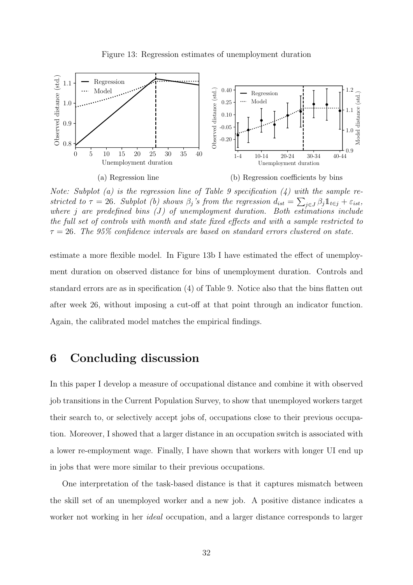

<span id="page-32-1"></span>

Note: Subplot (a) is the regression line of Table [9](#page-31-0) specification  $(4)$  with the sample restricted to  $\tau = 26$ . Subplot (b) shows  $\beta_j$ 's from the regression  $d_{ist} = \sum_{j \in J} \beta_j \mathbb{1}_{t \in j} + \varepsilon_{ist}$ , where j are predefined bins  $(J)$  of unemployment duration. Both estimations include the full set of controls with month and state fixed effects and with a sample restricted to  $\tau = 26$ . The 95% confidence intervals are based on standard errors clustered on state.

estimate a more flexible model. In Figure [13b](#page-32-1) I have estimated the effect of unemployment duration on observed distance for bins of unemployment duration. Controls and standard errors are as in specification (4) of Table [9.](#page-31-0) Notice also that the bins flatten out after week 26, without imposing a cut-off at that point through an indicator function. Again, the calibrated model matches the empirical findings.

## <span id="page-32-0"></span>6 Concluding discussion

In this paper I develop a measure of occupational distance and combine it with observed job transitions in the Current Population Survey, to show that unemployed workers target their search to, or selectively accept jobs of, occupations close to their previous occupation. Moreover, I showed that a larger distance in an occupation switch is associated with a lower re-employment wage. Finally, I have shown that workers with longer UI end up in jobs that were more similar to their previous occupations.

One interpretation of the task-based distance is that it captures mismatch between the skill set of an unemployed worker and a new job. A positive distance indicates a worker not working in her *ideal* occupation, and a larger distance corresponds to larger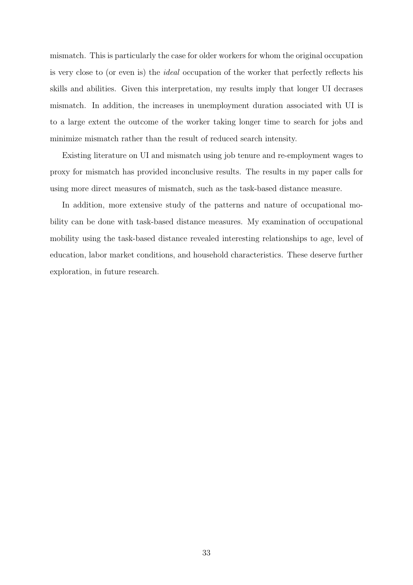mismatch. This is particularly the case for older workers for whom the original occupation is very close to (or even is) the ideal occupation of the worker that perfectly reflects his skills and abilities. Given this interpretation, my results imply that longer UI decrases mismatch. In addition, the increases in unemployment duration associated with UI is to a large extent the outcome of the worker taking longer time to search for jobs and minimize mismatch rather than the result of reduced search intensity.

Existing literature on UI and mismatch using job tenure and re-employment wages to proxy for mismatch has provided inconclusive results. The results in my paper calls for using more direct measures of mismatch, such as the task-based distance measure.

In addition, more extensive study of the patterns and nature of occupational mobility can be done with task-based distance measures. My examination of occupational mobility using the task-based distance revealed interesting relationships to age, level of education, labor market conditions, and household characteristics. These deserve further exploration, in future research.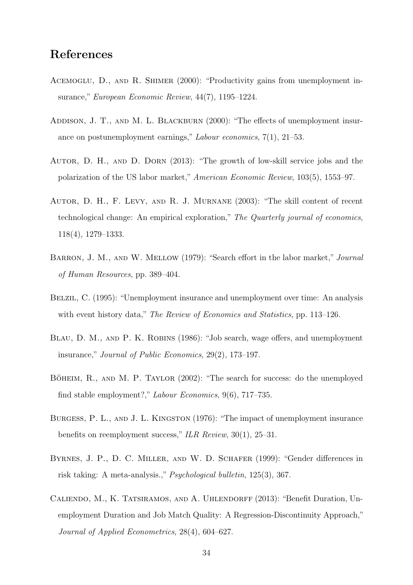# References

- <span id="page-34-1"></span>ACEMOGLU, D., AND R. SHIMER (2000): "Productivity gains from unemployment insurance," European Economic Review, 44(7), 1195–1224.
- <span id="page-34-8"></span>ADDISON, J. T., AND M. L. BLACKBURN (2000): "The effects of unemployment insurance on postunemployment earnings," Labour economics, 7(1), 21–53.
- <span id="page-34-9"></span>Autor, D. H., and D. Dorn (2013): "The growth of low-skill service jobs and the polarization of the US labor market," American Economic Review, 103(5), 1553–97.
- <span id="page-34-0"></span>Autor, D. H., F. Levy, and R. J. Murnane (2003): "The skill content of recent technological change: An empirical exploration," The Quarterly journal of economics, 118(4), 1279–1333.
- <span id="page-34-6"></span>BARRON, J. M., AND W. MELLOW (1979): "Search effort in the labor market," *Journal* of Human Resources, pp. 389–404.
- <span id="page-34-4"></span>Belzil, C. (1995): "Unemployment insurance and unemployment over time: An analysis with event history data," The Review of Economics and Statistics, pp. 113–126.
- <span id="page-34-7"></span>BLAU, D. M., AND P. K. ROBINS (1986): "Job search, wage offers, and unemployment insurance," Journal of Public Economics, 29(2), 173–197.
- <span id="page-34-2"></span>BÖHEIM, R., AND M. P. TAYLOR  $(2002)$ : "The search for success: do the unemployed find stable employment?," Labour Economics, 9(6), 717–735.
- <span id="page-34-5"></span>Burgess, P. L., and J. L. Kingston (1976): "The impact of unemployment insurance benefits on reemployment success," ILR Review, 30(1), 25–31.
- <span id="page-34-10"></span>BYRNES, J. P., D. C. MILLER, AND W. D. SCHAFER (1999): "Gender differences in risk taking: A meta-analysis.," Psychological bulletin, 125(3), 367.
- <span id="page-34-3"></span>Caliendo, M., K. Tatsiramos, and A. Uhlendorff (2013): "Benefit Duration, Unemployment Duration and Job Match Quality: A Regression-Discontinuity Approach," Journal of Applied Econometrics, 28(4), 604–627.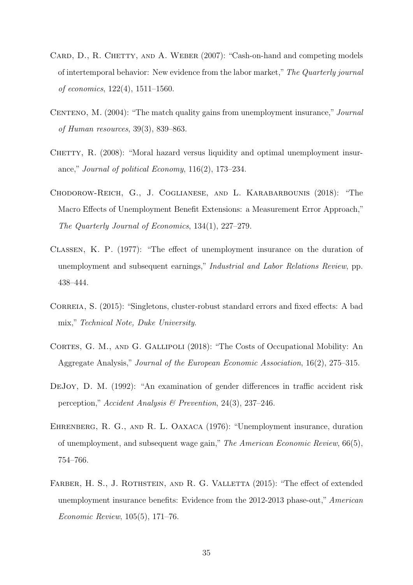- <span id="page-35-4"></span>CARD, D., R. CHETTY, AND A. WEBER (2007): "Cash-on-hand and competing models of intertemporal behavior: New evidence from the labor market," The Quarterly journal of economics, 122(4), 1511–1560.
- <span id="page-35-3"></span>CENTENO, M. (2004): "The match quality gains from unemployment insurance," *Journal* of Human resources, 39(3), 839–863.
- <span id="page-35-0"></span>CHETTY, R.  $(2008)$ : "Moral hazard versus liquidity and optimal unemployment insurance," Journal of political Economy, 116(2), 173–234.
- <span id="page-35-7"></span>Chodorow-Reich, G., J. Coglianese, and L. Karabarbounis (2018): "The Macro Effects of Unemployment Benefit Extensions: a Measurement Error Approach," The Quarterly Journal of Economics, 134(1), 227–279.
- <span id="page-35-6"></span>Classen, K. P. (1977): "The effect of unemployment insurance on the duration of unemployment and subsequent earnings," *Industrial and Labor Relations Review*, pp. 438–444.
- <span id="page-35-8"></span>CORREIA, S. (2015): "Singletons, cluster-robust standard errors and fixed effects: A bad mix," Technical Note, Duke University.
- <span id="page-35-2"></span>CORTES, G. M., AND G. GALLIPOLI (2018): "The Costs of Occupational Mobility: An Aggregate Analysis," Journal of the European Economic Association, 16(2), 275–315.
- <span id="page-35-9"></span>DeJoy, D. M. (1992): "An examination of gender differences in traffic accident risk perception," Accident Analysis & Prevention, 24(3), 237–246.
- <span id="page-35-5"></span>Ehrenberg, R. G., and R. L. Oaxaca (1976): "Unemployment insurance, duration of unemployment, and subsequent wage gain," The American Economic Review, 66(5), 754–766.
- <span id="page-35-1"></span>FARBER, H. S., J. ROTHSTEIN, AND R. G. VALLETTA (2015): "The effect of extended unemployment insurance benefits: Evidence from the 2012-2013 phase-out," American Economic Review, 105(5), 171–76.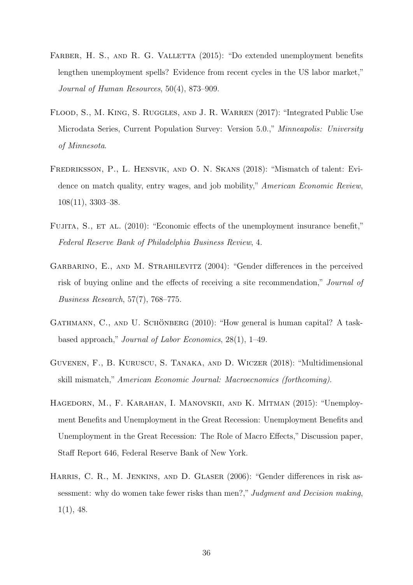- <span id="page-36-1"></span>FARBER, H. S., AND R. G. VALLETTA (2015): "Do extended unemployment benefits lengthen unemployment spells? Evidence from recent cycles in the US labor market," Journal of Human Resources, 50(4), 873–909.
- <span id="page-36-5"></span>Flood, S., M. King, S. Ruggles, and J. R. Warren (2017): "Integrated Public Use Microdata Series, Current Population Survey: Version 5.0.," Minneapolis: University of Minnesota.
- <span id="page-36-4"></span>Fredriksson, P., L. Hensvik, and O. N. Skans (2018): "Mismatch of talent: Evidence on match quality, entry wages, and job mobility," American Economic Review, 108(11), 3303–38.
- <span id="page-36-6"></span>FUJITA, S., ET AL. (2010): "Economic effects of the unemployment insurance benefit," Federal Reserve Bank of Philadelphia Business Review, 4.
- <span id="page-36-7"></span>GARBARINO, E., AND M. STRAHILEVITZ (2004): "Gender differences in the perceived risk of buying online and the effects of receiving a site recommendation," Journal of Business Research, 57(7), 768–775.
- <span id="page-36-2"></span>GATHMANN, C., AND U. SCHÖNBERG  $(2010)$ : "How general is human capital? A taskbased approach," Journal of Labor Economics, 28(1), 1–49.
- <span id="page-36-0"></span>Guvenen, F., B. Kuruscu, S. Tanaka, and D. Wiczer (2018): "Multidimensional skill mismatch," American Economic Journal: Macroecnomics (forthcoming).
- <span id="page-36-3"></span>Hagedorn, M., F. Karahan, I. Manovskii, and K. Mitman (2015): "Unemployment Benefits and Unemployment in the Great Recession: Unemployment Benefits and Unemployment in the Great Recession: The Role of Macro Effects," Discussion paper, Staff Report 646, Federal Reserve Bank of New York.
- <span id="page-36-8"></span>HARRIS, C. R., M. JENKINS, AND D. GLASER (2006): "Gender differences in risk assessment: why do women take fewer risks than men?," Judgment and Decision making, 1(1), 48.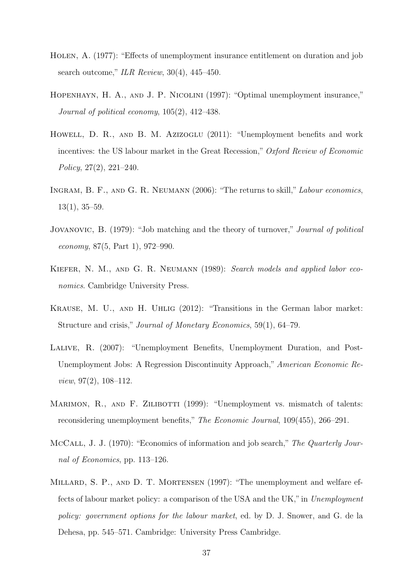- <span id="page-37-8"></span>Holen, A. (1977): "Effects of unemployment insurance entitlement on duration and job search outcome," ILR Review, 30(4), 445–450.
- <span id="page-37-3"></span>Hopenhayn, H. A., and J. P. Nicolini (1997): "Optimal unemployment insurance," Journal of political economy, 105(2), 412–438.
- <span id="page-37-0"></span>HOWELL, D. R., AND B. M. AZIZOGLU (2011): "Unemployment benefits and work incentives: the US labour market in the Great Recession," Oxford Review of Economic Policy, 27(2), 221–240.
- <span id="page-37-2"></span>Ingram, B. F., and G. R. Neumann (2006): "The returns to skill," Labour economics, 13(1), 35–59.
- <span id="page-37-5"></span>Jovanovic, B. (1979): "Job matching and the theory of turnover," Journal of political economy, 87(5, Part 1), 972–990.
- <span id="page-37-9"></span>KIEFER, N. M., AND G. R. NEUMANN (1989): Search models and applied labor economics. Cambridge University Press.
- <span id="page-37-7"></span>Krause, M. U., and H. Uhlig (2012): "Transitions in the German labor market: Structure and crisis," Journal of Monetary Economics, 59(1), 64–79.
- <span id="page-37-10"></span>Lalive, R. (2007): "Unemployment Benefits, Unemployment Duration, and Post-Unemployment Jobs: A Regression Discontinuity Approach," American Economic Review, 97(2), 108–112.
- <span id="page-37-4"></span>MARIMON, R., AND F. ZILIBOTTI (1999): "Unemployment vs. mismatch of talents: reconsidering unemployment benefits," The Economic Journal, 109(455), 266–291.
- <span id="page-37-1"></span>McCall, J. J. (1970): "Economics of information and job search," The Quarterly Journal of Economics, pp. 113–126.
- <span id="page-37-6"></span>MILLARD, S. P., AND D. T. MORTENSEN (1997): "The unemployment and welfare effects of labour market policy: a comparison of the USA and the UK,"in Unemployment policy: government options for the labour market, ed. by D. J. Snower, and G. de la Dehesa, pp. 545–571. Cambridge: University Press Cambridge.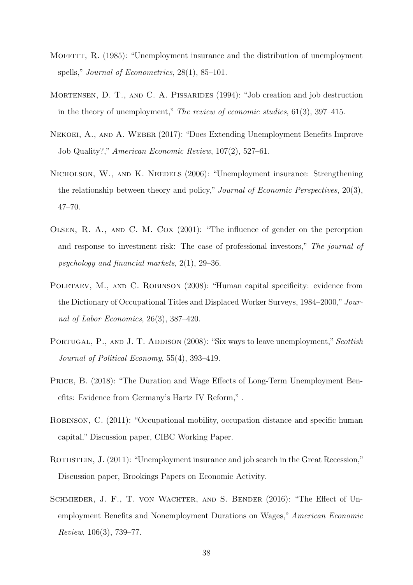- <span id="page-38-9"></span>MOFFITT, R. (1985): "Unemployment insurance and the distribution of unemployment spells," *Journal of Econometrics*, 28(1), 85–101.
- <span id="page-38-7"></span>Mortensen, D. T., and C. A. Pissarides (1994): "Job creation and job destruction in the theory of unemployment," The review of economic studies, 61(3), 397–415.
- <span id="page-38-8"></span>Nekoei, A., and A. Weber (2017): "Does Extending Unemployment Benefits Improve Job Quality?," American Economic Review, 107(2), 527–61.
- <span id="page-38-3"></span>NICHOLSON, W., AND K. NEEDELS (2006): "Unemployment insurance: Strengthening the relationship between theory and policy," Journal of Economic Perspectives, 20(3), 47–70.
- <span id="page-38-10"></span>Olsen, R. A., and C. M. Cox (2001): "The influence of gender on the perception and response to investment risk: The case of professional investors," The journal of psychology and financial markets, 2(1), 29–36.
- <span id="page-38-1"></span>POLETAEV, M., AND C. ROBINSON (2008): "Human capital specificity: evidence from the Dictionary of Occupational Titles and Displaced Worker Surveys, 1984–2000," Journal of Labor Economics, 26(3), 387–420.
- <span id="page-38-6"></span>PORTUGAL, P., AND J. T. ADDISON (2008): "Six ways to leave unemployment," Scottish Journal of Political Economy, 55(4), 393–419.
- <span id="page-38-4"></span>PRICE, B. (2018): "The Duration and Wage Effects of Long-Term Unemployment Benefits: Evidence from Germany's Hartz IV Reform," .
- <span id="page-38-2"></span>Robinson, C. (2011): "Occupational mobility, occupation distance and specific human capital," Discussion paper, CIBC Working Paper.
- <span id="page-38-0"></span>ROTHSTEIN, J. (2011): "Unemployment insurance and job search in the Great Recession," Discussion paper, Brookings Papers on Economic Activity.
- <span id="page-38-5"></span>SCHMIEDER, J. F., T. VON WACHTER, AND S. BENDER (2016): "The Effect of Unemployment Benefits and Nonemployment Durations on Wages," American Economic Review, 106(3), 739–77.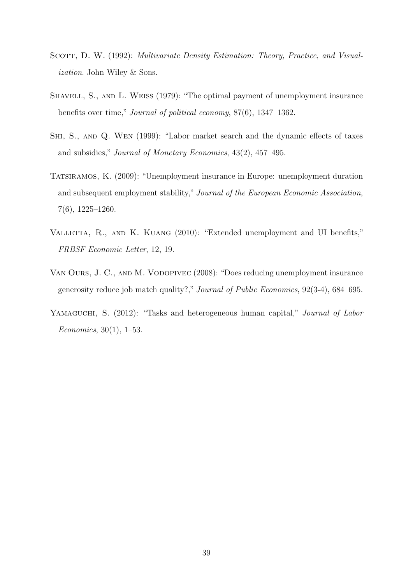- <span id="page-39-5"></span>SCOTT, D. W. (1992): *Multivariate Density Estimation: Theory, Practice, and Visual*ization. John Wiley & Sons.
- <span id="page-39-1"></span>Shavell, S., and L. Weiss (1979): "The optimal payment of unemployment insurance benefits over time," Journal of political economy, 87(6), 1347–1362.
- <span id="page-39-4"></span>Shi, S., and Q. Wen (1999): "Labor market search and the dynamic effects of taxes and subsidies," Journal of Monetary Economics, 43(2), 457–495.
- <span id="page-39-2"></span>Tatsiramos, K. (2009): "Unemployment insurance in Europe: unemployment duration and subsequent employment stability," Journal of the European Economic Association, 7(6), 1225–1260.
- <span id="page-39-6"></span>VALLETTA, R., AND K. KUANG (2010): "Extended unemployment and UI benefits," FRBSF Economic Letter, 12, 19.
- <span id="page-39-3"></span>Van Ours, J. C., and M. Vodopivec (2008): "Does reducing unemployment insurance generosity reduce job match quality?," Journal of Public Economics, 92(3-4), 684–695.
- <span id="page-39-0"></span>YAMAGUCHI, S. (2012): "Tasks and heterogeneous human capital," *Journal of Labor* Economics, 30(1), 1–53.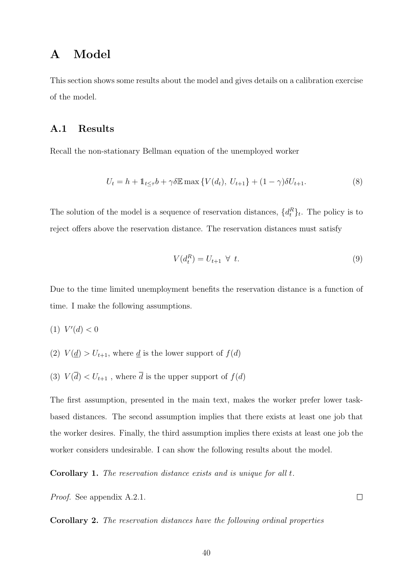# <span id="page-40-0"></span>A Model

This section shows some results about the model and gives details on a calibration exercise of the model.

### A.1 Results

Recall the non-stationary Bellman equation of the unemployed worker

$$
U_t = h + \mathbb{1}_{t \le \tau} b + \gamma \delta \mathbb{E} \max \{ V(d_t), \ U_{t+1} \} + (1 - \gamma) \delta U_{t+1}.
$$
 (8)

The solution of the model is a sequence of reservation distances,  $\{d_t^R\}_t$ . The policy is to reject offers above the reservation distance. The reservation distances must satisfy

<span id="page-40-2"></span>
$$
V(d_t^R) = U_{t+1} \ \forall \ t. \tag{9}
$$

Due to the time limited unemployment benefits the reservation distance is a function of time. I make the following assumptions.

$$
(1) V'(d) < 0
$$

- (2)  $V(\underline{d}) > U_{t+1}$ , where  $\underline{d}$  is the lower support of  $f(d)$
- (3)  $V(\overline{d}) < U_{t+1}$ , where  $\overline{d}$  is the upper support of  $f(d)$

The first assumption, presented in the main text, makes the worker prefer lower taskbased distances. The second assumption implies that there exists at least one job that the worker desires. Finally, the third assumption implies there exists at least one job the worker considers undesirable. I can show the following results about the model.

<span id="page-40-1"></span>Corollary 1. The reservation distance exists and is unique for all t.

Proof. See appendix [A.2.1.](#page-41-0)

<span id="page-40-3"></span>Corollary 2. The reservation distances have the following ordinal properties

 $\Box$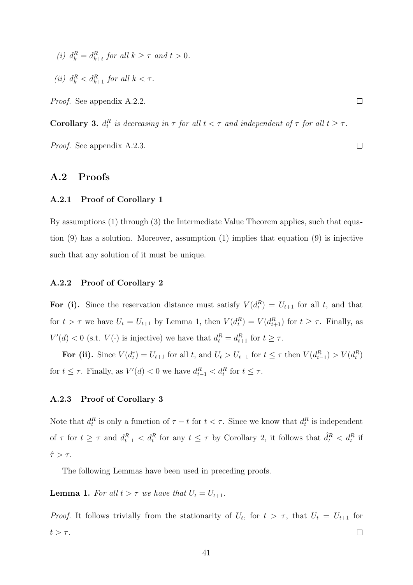- (i)  $d_k^R = d_{k+t}^R$  for all  $k \geq \tau$  and  $t > 0$ .
- (*ii*)  $d_k^R < d_{k+1}^R$  for all  $k < \tau$ .

Proof. See appendix [A.2.2.](#page-41-1)

<span id="page-41-4"></span>**Corollary 3.**  $d_t^R$  is decreasing in  $\tau$  for all  $t < \tau$  and independent of  $\tau$  for all  $t \geq \tau$ .

Proof. See appendix [A.2.3.](#page-41-2)

### A.2 Proofs

#### <span id="page-41-0"></span>A.2.1 Proof of Corollary [1](#page-40-1)

By assumptions (1) through (3) the Intermediate Value Theorem applies, such that equation [\(9\)](#page-40-2) has a solution. Moreover, assumption (1) implies that equation [\(9\)](#page-40-2) is injective such that any solution of it must be unique.

#### <span id="page-41-1"></span>A.2.2 Proof of Corollary [2](#page-40-3)

For (i). Since the reservation distance must satisfy  $V(d_t^R) = U_{t+1}$  for all t, and that for  $t > \tau$  we have  $U_t = U_{t+1}$  by Lemma [1,](#page-41-3) then  $V(d_t^R) = V(d_{t+1}^R)$  for  $t \geq \tau$ . Finally, as  $V'(d) < 0$  (s.t.  $V(\cdot)$  is injective) we have that  $d_t^R = d_{t+1}^R$  for  $t \geq \tau$ .

For (ii). Since  $V(d_t^r) = U_{t+1}$  for all t, and  $U_t > U_{t+1}$  for  $t \leq \tau$  then  $V(d_{t-1}^R) > V(d_t^R)$ for  $t \leq \tau$ . Finally, as  $V'(d) < 0$  we have  $d_{t-1}^R < d_t^R$  for  $t \leq \tau$ .

#### <span id="page-41-2"></span>A.2.3 Proof of Corollary [3](#page-41-4)

Note that  $d_t^R$  is only a function of  $\tau - t$  for  $t < \tau$ . Since we know that  $d_t^R$  is independent of  $\tau$  for  $t \geq \tau$  and  $d_{t-1}^R < d_t^R$  for any  $t \leq \tau$  by Corollary [2,](#page-40-3) it follows that  $\hat{d}_t^R < d_t^R$  if  $\hat{\tau} > \tau$ .

The following Lemmas have been used in preceding proofs.

<span id="page-41-3"></span>**Lemma 1.** For all  $t > \tau$  we have that  $U_t = U_{t+1}$ .

*Proof.* It follows trivially from the stationarity of  $U_t$ , for  $t > \tau$ , that  $U_t = U_{t+1}$  for  $t > \tau$ .  $\Box$ 

 $\Box$ 

 $\Box$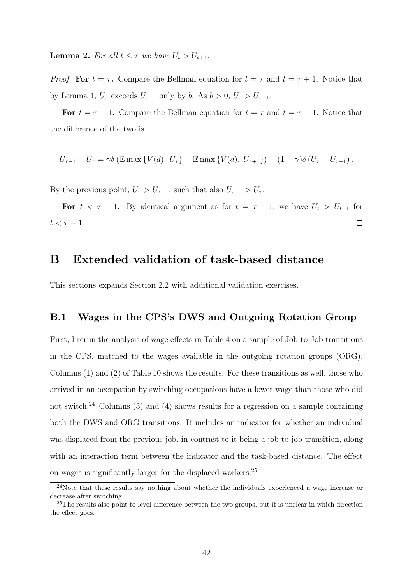**Lemma 2.** For all  $t \leq \tau$  we have  $U_t > U_{t+1}$ .

*Proof.* For  $t = \tau$ . Compare the Bellman equation for  $t = \tau$  and  $t = \tau + 1$ . Notice that by Lemma [1,](#page-41-3)  $U_{\tau}$  exceeds  $U_{\tau+1}$  only by b. As  $b > 0$ ,  $U_{\tau} > U_{\tau+1}$ .

For  $t = \tau - 1$ . Compare the Bellman equation for  $t = \tau$  and  $t = \tau - 1$ . Notice that the difference of the two is

$$
U_{\tau-1} - U_{\tau} = \gamma \delta \left( \mathbb{E} \max \left\{ V(d), U_{\tau} \right\} - \mathbb{E} \max \left\{ V(d), U_{\tau+1} \right\} \right) + (1 - \gamma) \delta \left( U_{\tau} - U_{\tau+1} \right).
$$

By the previous point,  $U_{\tau} > U_{\tau+1}$ , such that also  $U_{\tau-1} > U_{\tau}$ .

For  $t < \tau - 1$ . By identical argument as for  $t = \tau - 1$ , we have  $U_t > U_{t+1}$  for  $t < \tau - 1$ .  $\Box$ 

## <span id="page-42-0"></span>B Extended validation of task-based distance

This sections expands Section [2.2](#page-11-1) with additional validation exercises.

### <span id="page-42-1"></span>B.1 Wages in the CPS's DWS and Outgoing Rotation Group

First, I rerun the analysis of wage effects in Table [4](#page-15-1) on a sample of Job-to-Job transitions in the CPS, matched to the wages available in the outgoing rotation groups (ORG). Columns (1) and (2) of Table [10](#page-43-0) shows the results. For these transitions as well, those who arrived in an occupation by switching occupations have a lower wage than those who did not switch.<sup>[24](#page-42-2)</sup> Columns (3) and (4) shows results for a regression on a sample containing both the DWS and ORG transitions. It includes an indicator for whether an individual was displaced from the previous job, in contrast to it being a job-to-job transition, along with an interaction term between the indicator and the task-based distance. The effect on wages is significantly larger for the displaced workers.[25](#page-42-3)

<span id="page-42-2"></span><sup>&</sup>lt;sup>24</sup>Note that these results say nothing about whether the individuals experienced a wage increase or decrease after switching.

<span id="page-42-3"></span><sup>&</sup>lt;sup>25</sup>The results also point to level difference between the two groups, but it is unclear in which direction the effect goes.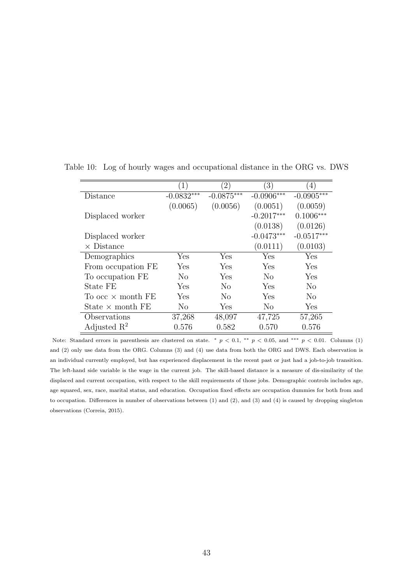|                          | $\left(1\right)$ | $\left(2\right)$ | $\left(3\right)$ | $\left(4\right)$ |
|--------------------------|------------------|------------------|------------------|------------------|
| Distance                 | $-0.0832***$     | $-0.0875***$     | $-0.0906***$     | $-0.0905***$     |
|                          | (0.0065)         | (0.0056)         | (0.0051)         | (0.0059)         |
| Displaced worker         |                  |                  | $-0.2017***$     | $0.1006***$      |
|                          |                  |                  | (0.0138)         | (0.0126)         |
| Displaced worker         |                  |                  | $-0.0473***$     | $-0.0517***$     |
| $\times$ Distance        |                  |                  | (0.0111)         | (0.0103)         |
| Demographics             | Yes              | Yes              | Yes              | Yes              |
| From occupation FE       | Yes              | Yes              | Yes              | Yes              |
| To occupation FE         | N <sub>o</sub>   | Yes              | N <sub>0</sub>   | Yes              |
| State FE                 | Yes              | N <sub>0</sub>   | Yes              | N <sub>o</sub>   |
| To occ $\times$ month FE | ${\rm Yes}$      | N <sub>0</sub>   | Yes              | N <sub>o</sub>   |
| State $\times$ month FE  | $\rm No$         | Yes              | N <sub>o</sub>   | Yes              |
| Observations             | 37,268           | 48,097           | 47,725           | 57,265           |
| Adjusted $\mathbb{R}^2$  | 0.576            | 0.582            | 0.570            | 0.576            |

<span id="page-43-0"></span>Table 10: Log of hourly wages and occupational distance in the ORG vs. DWS

Note: Standard errors in parenthesis are clustered on state. \*  $p < 0.1$ , \*\*  $p < 0.05$ , and \*\*\*  $p < 0.01$ . Columns (1) and (2) only use data from the ORG. Columns (3) and (4) use data from both the ORG and DWS. Each observation is an individual currently employed, but has experienced displacement in the recent past or just had a job-to-job transition. The left-hand side variable is the wage in the current job. The skill-based distance is a measure of dis-similarity of the displaced and current occupation, with respect to the skill requirements of those jobs. Demographic controls includes age, age squared, sex, race, marital status, and education. Occupation fixed effects are occupation dummies for both from and to occupation. Differences in number of observations between (1) and (2), and (3) and (4) is caused by dropping singleton observations [\(Correia, 2015\)](#page-35-8).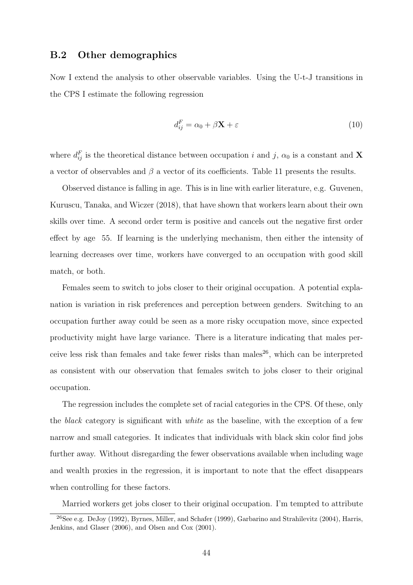### B.2 Other demographics

Now I extend the analysis to other observable variables. Using the U-t-J transitions in the CPS I estimate the following regression

$$
d_{ij}^F = \alpha_0 + \beta \mathbf{X} + \varepsilon \tag{10}
$$

where  $d_{ij}^F$  is the theoretical distance between occupation i and j,  $\alpha_0$  is a constant and **X** a vector of observables and  $\beta$  a vector of its coefficients. Table [11](#page-45-0) presents the results.

Observed distance is falling in age. This is in line with earlier literature, e.g. [Guvenen,](#page-36-0) [Kuruscu, Tanaka, and Wiczer](#page-36-0) [\(2018\)](#page-36-0), that have shown that workers learn about their own skills over time. A second order term is positive and cancels out the negative first order effect by age 55. If learning is the underlying mechanism, then either the intensity of learning decreases over time, workers have converged to an occupation with good skill match, or both.

Females seem to switch to jobs closer to their original occupation. A potential explanation is variation in risk preferences and perception between genders. Switching to an occupation further away could be seen as a more risky occupation move, since expected productivity might have large variance. There is a literature indicating that males per-ceive less risk than females and take fewer risks than males<sup>[26](#page-44-0)</sup>, which can be interpreted as consistent with our observation that females switch to jobs closer to their original occupation.

The regression includes the complete set of racial categories in the CPS. Of these, only the black category is significant with white as the baseline, with the exception of a few narrow and small categories. It indicates that individuals with black skin color find jobs further away. Without disregarding the fewer observations available when including wage and wealth proxies in the regression, it is important to note that the effect disappears when controlling for these factors.

<span id="page-44-0"></span>Married workers get jobs closer to their original occupation. I'm tempted to attribute

<sup>26</sup>See e.g. [DeJoy](#page-35-9) [\(1992\)](#page-35-9), [Byrnes, Miller, and Schafer](#page-34-10) [\(1999\)](#page-34-10), [Garbarino and Strahilevitz](#page-36-7) [\(2004\)](#page-36-7), [Harris,](#page-36-8) [Jenkins, and Glaser](#page-36-8) [\(2006\)](#page-36-8), and [Olsen and Cox](#page-38-10) [\(2001\)](#page-38-10).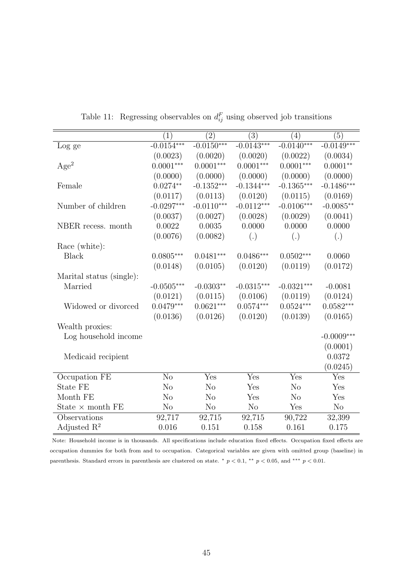<span id="page-45-0"></span>

|                          | (1)            | $\bar{(2)}$    | (3)            | $\left(4\right)$ | (5)          |
|--------------------------|----------------|----------------|----------------|------------------|--------------|
| Log ge                   | $-0.0154***$   | $-0.0150***$   | $-0.0143***$   | $-0.0140***$     | $-0.0149***$ |
|                          | (0.0023)       | (0.0020)       | (0.0020)       | (0.0022)         | (0.0034)     |
| Age <sup>2</sup>         | $0.0001***$    | $0.0001***$    | $0.0001***$    | $0.0001***$      | $0.0001**$   |
|                          | (0.0000)       | (0.0000)       | (0.0000)       | (0.0000)         | (0.0000)     |
| Female                   | $0.0274**$     | $-0.1352***$   | $-0.1344***$   | $-0.1365***$     | $-0.1486***$ |
|                          | (0.0117)       | (0.0113)       | (0.0120)       | (0.0115)         | (0.0169)     |
| Number of children       | $-0.0297***$   | $-0.0110***$   | $-0.0112***$   | $-0.0106***$     | $-0.0085**$  |
|                          | (0.0037)       | (0.0027)       | (0.0028)       | (0.0029)         | (0.0041)     |
| NBER recess. month       | $0.0022\,$     | 0.0035         | 0.0000         | 0.0000           | 0.0000       |
|                          | (0.0076)       | (0.0082)       | (.)            | (.)              | (.)          |
| Race (white):            |                |                |                |                  |              |
| <b>Black</b>             | $0.0805***$    | $0.0481***$    | $0.0486***$    | $0.0502***$      | 0.0060       |
|                          | (0.0148)       | (0.0105)       | (0.0120)       | (0.0119)         | (0.0172)     |
| Marital status (single): |                |                |                |                  |              |
| Married                  | $-0.0505***$   | $-0.0303**$    | $-0.0315***$   | $-0.0321***$     | $-0.0081$    |
|                          | (0.0121)       | (0.0115)       | (0.0106)       | (0.0119)         | (0.0124)     |
| Widowed or divorced      | $0.0479***$    | $0.0621***$    | $0.0574***$    | $0.0524***$      | $0.0582***$  |
|                          | (0.0136)       | (0.0126)       | (0.0120)       | (0.0139)         | (0.0165)     |
| Wealth proxies:          |                |                |                |                  |              |
| Log household income     |                |                |                |                  | $-0.0009***$ |
|                          |                |                |                |                  | (0.0001)     |
| Medicaid recipient       |                |                |                |                  | 0.0372       |
|                          |                |                |                |                  | (0.0245)     |
| Occupation FE            | N <sub>o</sub> | Yes            | Yes            | Yes              | Yes          |
| State FE                 | N <sub>o</sub> | N <sub>o</sub> | Yes            | N <sub>o</sub>   | Yes          |
| Month FE                 | N <sub>o</sub> | N <sub>o</sub> | Yes            | N <sub>o</sub>   | Yes          |
| State $\times$ month FE  | N <sub>o</sub> | N <sub>o</sub> | N <sub>o</sub> | Yes              | No           |
| Observations             | 92,717         | 92,715         | 92,715         | 90,722           | 32,399       |
| Adjusted $\mathbb{R}^2$  | 0.016          | 0.151          | 0.158          | 0.161            | 0.175        |

Table 11: Regressing observables on  $d_{ij}^F$  using observed job transitions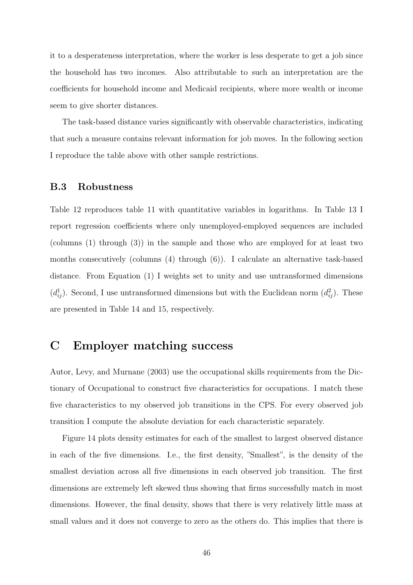it to a desperateness interpretation, where the worker is less desperate to get a job since the household has two incomes. Also attributable to such an interpretation are the coefficients for household income and Medicaid recipients, where more wealth or income seem to give shorter distances.

The task-based distance varies significantly with observable characteristics, indicating that such a measure contains relevant information for job moves. In the following section I reproduce the table above with other sample restrictions.

### B.3 Robustness

Table [12](#page-47-0) reproduces table [11](#page-45-0) with quantitative variables in logarithms. In Table [13](#page-48-0) I report regression coefficients where only unemployed-employed sequences are included (columns (1) through (3)) in the sample and those who are employed for at least two months consecutively (columns (4) through (6)). I calculate an alternative task-based distance. From Equation [\(1\)](#page-7-3) I weights set to unity and use untransformed dimensions  $(d_{ij}^1)$ . Second, I use untransformed dimensions but with the Euclidean norm  $(d_{ij}^2)$ . These are presented in Table [14](#page-49-0) and [15,](#page-50-0) respectively.

### <span id="page-46-0"></span>C Employer matching success

[Autor, Levy, and Murnane](#page-34-0) [\(2003\)](#page-34-0) use the occupational skills requirements from the Dictionary of Occupational to construct five characteristics for occupations. I match these five characteristics to my observed job transitions in the CPS. For every observed job transition I compute the absolute deviation for each characteristic separately.

Figure [14](#page-51-1) plots density estimates for each of the smallest to largest observed distance in each of the five dimensions. I.e., the first density, "Smallest", is the density of the smallest deviation across all five dimensions in each observed job transition. The first dimensions are extremely left skewed thus showing that firms successfully match in most dimensions. However, the final density, shows that there is very relatively little mass at small values and it does not converge to zero as the others do. This implies that there is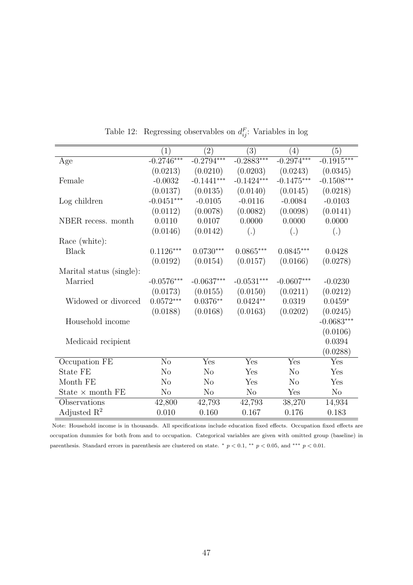<span id="page-47-0"></span>

|                          | $\left( 1\right)$ | $\left( 2\right)$ | (3)            | $\left(4\right)$ | (5)            |
|--------------------------|-------------------|-------------------|----------------|------------------|----------------|
| Age                      | $-0.2746***$      | $-0.2794***$      | $-0.2883***$   | $-0.2974***$     | $-0.1915***$   |
|                          | (0.0213)          | (0.0210)          | (0.0203)       | (0.0243)         | (0.0345)       |
| Female                   | $-0.0032$         | $-0.1441***$      | $-0.1424***$   | $-0.1475***$     | $-0.1508***$   |
|                          | (0.0137)          | (0.0135)          | (0.0140)       | (0.0145)         | (0.0218)       |
| Log children             | $-0.0451***$      | $-0.0105$         | $-0.0116$      | $-0.0084$        | $-0.0103$      |
|                          | (0.0112)          | (0.0078)          | (0.0082)       | (0.0098)         | (0.0141)       |
| NBER recess. month       | 0.0110            | 0.0107            | 0.0000         | 0.0000           | 0.0000         |
|                          | (0.0146)          | (0.0142)          | (.)            | (.)              | (.)            |
| Race (white):            |                   |                   |                |                  |                |
| <b>Black</b>             | $0.1126***$       | $0.0730***$       | $0.0865***$    | $0.0845***$      | 0.0428         |
|                          | (0.0192)          | (0.0154)          | (0.0157)       | (0.0166)         | (0.0278)       |
| Marital status (single): |                   |                   |                |                  |                |
| Married                  | $-0.0576***$      | $-0.0637***$      | $-0.0531***$   | $-0.0607***$     | $-0.0230$      |
|                          | (0.0173)          | (0.0155)          | (0.0150)       | (0.0211)         | (0.0212)       |
| Widowed or divorced      | $0.0572***$       | $0.0376**$        | $0.0424**$     | 0.0319           | $0.0459*$      |
|                          | (0.0188)          | (0.0168)          | (0.0163)       | (0.0202)         | (0.0245)       |
| Household income         |                   |                   |                |                  | $-0.0683***$   |
|                          |                   |                   |                |                  | (0.0106)       |
| Medicaid recipient       |                   |                   |                |                  | 0.0394         |
|                          |                   |                   |                |                  | (0.0288)       |
| Occupation FE            | N <sub>o</sub>    | Yes               | Yes            | Yes              | Yes            |
| State FE                 | N <sub>o</sub>    | N <sub>o</sub>    | Yes            | N <sub>o</sub>   | Yes            |
| Month FE                 | N <sub>o</sub>    | N <sub>o</sub>    | Yes            | N <sub>o</sub>   | Yes            |
| State $\times$ month FE  | N <sub>o</sub>    | N <sub>o</sub>    | N <sub>o</sub> | Yes              | N <sub>o</sub> |
| Observations             | 42,800            | 42,793            | 42,793         | 38,270           | 14,934         |
| Adjusted $\mathbb{R}^2$  | 0.010             | 0.160             | 0.167          | 0.176            | 0.183          |

Table 12: Regressing observables on  $d_{ij}^F$ : Variables in log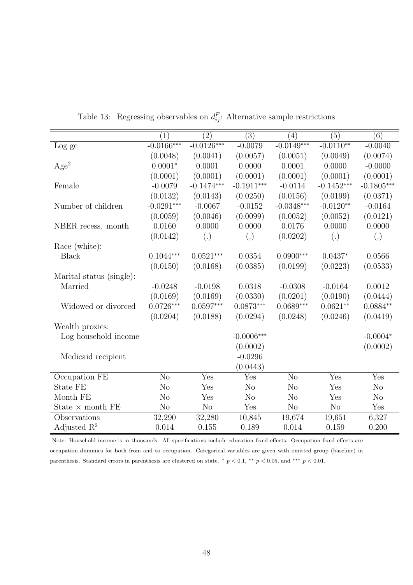<span id="page-48-0"></span>

|                          | (1)            | $\overline{(2)}$ | $\overline{(3)}$ | (4)            | (5)          | (6)            |
|--------------------------|----------------|------------------|------------------|----------------|--------------|----------------|
| Log ge                   | $-0.0166***$   | $-0.0126***$     | $-0.0079$        | $-0.0149***$   | $-0.0110**$  | $-0.0040$      |
|                          | (0.0048)       | (0.0041)         | (0.0057)         | (0.0051)       | (0.0049)     | (0.0074)       |
| Age <sup>2</sup>         | $0.0001*$      | 0.0001           | 0.0000           | 0.0001         | 0.0000       | $-0.0000$      |
|                          | (0.0001)       | (0.0001)         | (0.0001)         | (0.0001)       | (0.0001)     | (0.0001)       |
| Female                   | $-0.0079$      | $-0.1474***$     | $-0.1911***$     | $-0.0114$      | $-0.1452***$ | $-0.1805***$   |
|                          | (0.0132)       | (0.0143)         | (0.0250)         | (0.0156)       | (0.0199)     | (0.0371)       |
| Number of children       | $-0.0291***$   | $-0.0067$        | $-0.0152$        | $-0.0348***$   | $-0.0120**$  | $-0.0164$      |
|                          | (0.0059)       | (0.0046)         | (0.0099)         | (0.0052)       | (0.0052)     | (0.0121)       |
| NBER recess. month       | 0.0160         | 0.0000           | 0.0000           | 0.0176         | 0.0000       | 0.0000         |
|                          | (0.0142)       | (.)              | (.)              | (0.0202)       | (.)          | (.)            |
| Race (white):            |                |                  |                  |                |              |                |
| <b>Black</b>             | $0.1044***$    | $0.0521***$      | 0.0354           | $0.0900***$    | $0.0437*$    | 0.0566         |
|                          | (0.0150)       | (0.0168)         | (0.0385)         | (0.0199)       | (0.0223)     | (0.0533)       |
| Marital status (single): |                |                  |                  |                |              |                |
| Married                  | $-0.0248$      | $-0.0198$        | 0.0318           | $-0.0308$      | $-0.0164$    | 0.0012         |
|                          | (0.0169)       | (0.0169)         | (0.0330)         | (0.0201)       | (0.0190)     | (0.0444)       |
| Widowed or divorced      | $0.0726***$    | $0.0597***$      | $0.0873***$      | $0.0689***$    | $0.0621**$   | $0.0884**$     |
|                          | (0.0204)       | (0.0188)         | (0.0294)         | (0.0248)       | (0.0246)     | (0.0419)       |
| Wealth proxies:          |                |                  |                  |                |              |                |
| Log household income     |                |                  | $-0.0006***$     |                |              | $-0.0004*$     |
|                          |                |                  | (0.0002)         |                |              | (0.0002)       |
| Medicaid recipient       |                |                  | $-0.0296$        |                |              |                |
|                          |                |                  | (0.0443)         |                |              |                |
| Occupation FE            | N <sub>o</sub> | Yes              | Yes              | N <sub>o</sub> | Yes          | Yes            |
| State FE                 | N <sub>o</sub> | Yes              | No               | N <sub>o</sub> | Yes          | $\rm No$       |
| Month FE                 | N <sub>o</sub> | Yes              | N <sub>o</sub>   | N <sub>o</sub> | Yes          | N <sub>o</sub> |
| State $\times$ month FE  | $\rm No$       | N <sub>o</sub>   | Yes              | N <sub>o</sub> | No           | Yes            |
| Observations             | 32,290         | 32,280           | 10,845           | 19,674         | 19,651       | 6,327          |
| Adjusted $\mathbb{R}^2$  | 0.014          | 0.155            | 0.189            | 0.014          | 0.159        | 0.200          |

Table 13: Regressing observables on  $d_{ij}^F$ : Alternative sample restrictions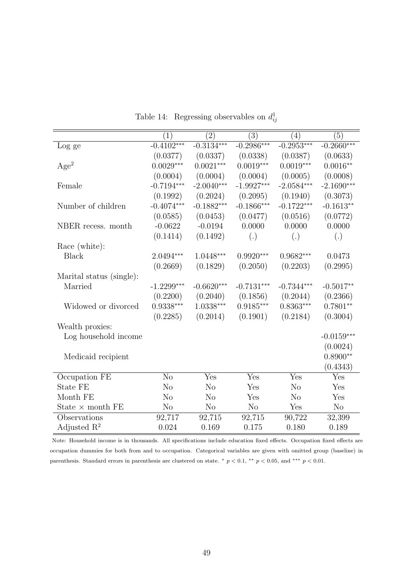<span id="page-49-0"></span>

|                          | (1)            | (2)            | $\overline{(3)}$ | (4)            | (5)          |
|--------------------------|----------------|----------------|------------------|----------------|--------------|
| Log ge                   | $-0.4102***$   | $-0.3134***$   | $-0.2986***$     | $-0.2953***$   | $-0.2660***$ |
|                          | (0.0377)       | (0.0337)       | (0.0338)         | (0.0387)       | (0.0633)     |
| Age <sup>2</sup>         | $0.0029***$    | $0.0021***$    | $0.0019***$      | $0.0019***$    | $0.0016**$   |
|                          | (0.0004)       | (0.0004)       | (0.0004)         | (0.0005)       | (0.0008)     |
| Female                   | $-0.7194***$   | $-2.0040***$   | $-1.9927***$     | $-2.0584***$   | $-2.1690***$ |
|                          | (0.1992)       | (0.2024)       | (0.2095)         | (0.1940)       | (0.3073)     |
| Number of children       | $-0.4074***$   | $-0.1882***$   | $-0.1866***$     | $-0.1722***$   | $-0.1613**$  |
|                          | (0.0585)       | (0.0453)       | (0.0477)         | (0.0516)       | (0.0772)     |
| NBER recess. month       | $-0.0622$      | $-0.0194$      | 0.0000           | 0.0000         | 0.0000       |
|                          | (0.1414)       | (0.1492)       | (.)              | (.)            | (.)          |
| Race (white):            |                |                |                  |                |              |
| <b>Black</b>             | $2.0494***$    | $1.0448***$    | $0.9920***$      | $0.9682***$    | 0.0473       |
|                          | (0.2669)       | (0.1829)       | (0.2050)         | (0.2203)       | (0.2995)     |
| Marital status (single): |                |                |                  |                |              |
| Married                  | $-1.2299***$   | $-0.6620***$   | $-0.7131***$     | $-0.7344***$   | $-0.5017**$  |
|                          | (0.2200)       | (0.2040)       | (0.1856)         | (0.2044)       | (0.2366)     |
| Widowed or divorced      | $0.9338***$    | $1.0338***$    | $0.9185***$      | $0.8363***$    | $0.7801**$   |
|                          | (0.2285)       | (0.2014)       | (0.1901)         | (0.2184)       | (0.3004)     |
| Wealth proxies:          |                |                |                  |                |              |
| Log household income     |                |                |                  |                | $-0.0159***$ |
|                          |                |                |                  |                | (0.0024)     |
| Medicaid recipient       |                |                |                  |                | $0.8900**$   |
|                          |                |                |                  |                | (0.4343)     |
| Occupation FE            | N <sub>o</sub> | Yes            | Yes              | Yes            | Yes          |
| <b>State FE</b>          | N <sub>o</sub> | N <sub>o</sub> | Yes              | N <sub>o</sub> | Yes          |
| Month FE                 | N <sub>o</sub> | N <sub>o</sub> | Yes              | N <sub>o</sub> | Yes          |
| State $\times$ month FE  | No             | N <sub>o</sub> | N <sub>o</sub>   | Yes            | No           |
| Observations             | 92,717         | 92,715         | 92,715           | 90,722         | 32,399       |
| Adjusted $\mathbb{R}^2$  | 0.024          | 0.169          | 0.175            | 0.180          | 0.189        |

Table 14: Regressing observables on  $d_{ij}^1$ 

 $\equiv$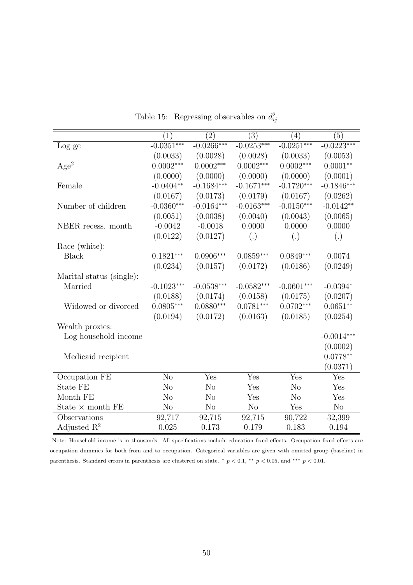<span id="page-50-0"></span>

|                          | (1)            | $\overline{(2)}$ | $\overline{(3)}$ | (4)            | (5)            |
|--------------------------|----------------|------------------|------------------|----------------|----------------|
| Log ge                   | $-0.0351***$   | $-0.0266***$     | $-0.0253***$     | $-0.0251***$   | $-0.0223***$   |
|                          | (0.0033)       | (0.0028)         | (0.0028)         | (0.0033)       | (0.0053)       |
| Age <sup>2</sup>         | $0.0002***$    | $0.0002***$      | $0.0002***$      | $0.0002***$    | $0.0001**$     |
|                          | (0.0000)       | (0.0000)         | (0.0000)         | (0.0000)       | (0.0001)       |
| Female                   | $-0.0404**$    | $-0.1684***$     | $-0.1671***$     | $-0.1720***$   | $-0.1846***$   |
|                          | (0.0167)       | (0.0173)         | (0.0179)         | (0.0167)       | (0.0262)       |
| Number of children       | $-0.0360***$   | $-0.0164***$     | $-0.0163***$     | $-0.0150***$   | $-0.0142**$    |
|                          | (0.0051)       | (0.0038)         | (0.0040)         | (0.0043)       | (0.0065)       |
| NBER recess. month       | $-0.0042$      | $-0.0018$        | 0.0000           | 0.0000         | 0.0000         |
|                          | (0.0122)       | (0.0127)         | (.)              | (.)            | (.)            |
| Race (white):            |                |                  |                  |                |                |
| <b>Black</b>             | $0.1821***$    | $0.0906***$      | $0.0859***$      | $0.0849***$    | 0.0074         |
|                          | (0.0234)       | (0.0157)         | (0.0172)         | (0.0186)       | (0.0249)       |
| Marital status (single): |                |                  |                  |                |                |
| Married                  | $-0.1023***$   | $-0.0538***$     | $-0.0582***$     | $-0.0601***$   | $-0.0394*$     |
|                          | (0.0188)       | (0.0174)         | (0.0158)         | (0.0175)       | (0.0207)       |
| Widowed or divorced      | $0.0805***$    | $0.0880***$      | $0.0781***$      | $0.0702***$    | $0.0651**$     |
|                          | (0.0194)       | (0.0172)         | (0.0163)         | (0.0185)       | (0.0254)       |
| Wealth proxies:          |                |                  |                  |                |                |
| Log household income     |                |                  |                  |                | $-0.0014***$   |
|                          |                |                  |                  |                | (0.0002)       |
| Medicaid recipient       |                |                  |                  |                | $0.0778**$     |
|                          |                |                  |                  |                | (0.0371)       |
| Occupation FE            | N <sub>o</sub> | Yes              | Yes              | Yes            | Yes            |
| State FE                 | N <sub>o</sub> | N <sub>o</sub>   | Yes              | N <sub>o</sub> | Yes            |
| Month FE                 | N <sub>o</sub> | N <sub>o</sub>   | Yes              | N <sub>o</sub> | Yes            |
| State $\times$ month FE  | N <sub>o</sub> | N <sub>o</sub>   | N <sub>o</sub>   | Yes            | N <sub>o</sub> |
| Observations             | 92,717         | 92,715           | 92,715           | 90,722         | 32,399         |
| Adjusted $\mathbb{R}^2$  | 0.025          | 0.173            | 0.179            | 0.183          | 0.194          |

Table 15: Regressing observables on  $d_{ij}^2$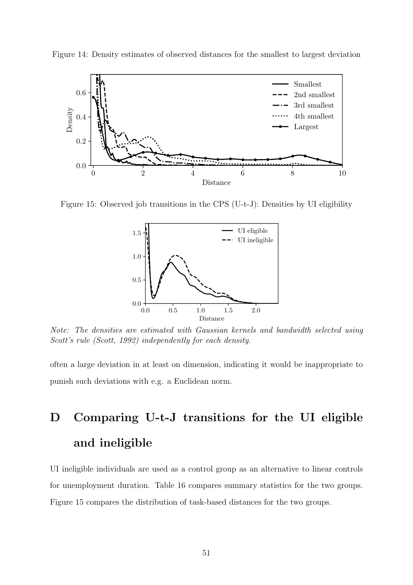<span id="page-51-1"></span>



<span id="page-51-2"></span>Figure 15: Observed job transitions in the CPS (U-t-J): Densities by UI eligibility



Note: The densities are estimated with Gaussian kernels and bandwidth selected using Scott's rule [\(Scott, 1992\)](#page-39-5) independently for each density.

often a large deviation in at least on dimension, indicating it would be inappropriate to punish such deviations with e.g. a Euclidean norm.

# <span id="page-51-0"></span>D Comparing U-t-J transitions for the UI eligible and ineligible

UI ineligible individuals are used as a control group as an alternative to linear controls for unemployment duration. Table [16](#page-52-1) compares summary statistics for the two groups. Figure [15](#page-51-2) compares the distribution of task-based distances for the two groups.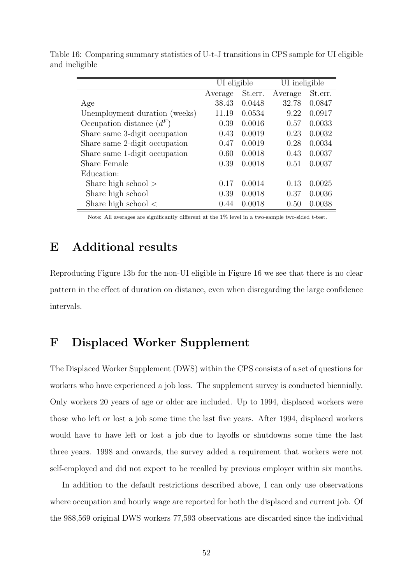|                               | UI eligible |         | UI ineligible |         |
|-------------------------------|-------------|---------|---------------|---------|
|                               | Average     | St.err. | Average       | St.err. |
| Age                           | 38.43       | 0.0448  | 32.78         | 0.0847  |
| Unemployment duration (weeks) | 11.19       | 0.0534  | 9.22          | 0.0917  |
| Occupation distance $(d^F)$   | 0.39        | 0.0016  | 0.57          | 0.0033  |
| Share same 3-digit occupation | 0.43        | 0.0019  | 0.23          | 0.0032  |
| Share same 2-digit occupation | 0.47        | 0.0019  | 0.28          | 0.0034  |
| Share same 1-digit occupation | 0.60        | 0.0018  | 0.43          | 0.0037  |
| <b>Share Female</b>           | 0.39        | 0.0018  | 0.51          | 0.0037  |
| Education:                    |             |         |               |         |
| Share high school $>$         | 0.17        | 0.0014  | 0.13          | 0.0025  |
| Share high school             | 0.39        | 0.0018  | 0.37          | 0.0036  |
| Share high school $\lt$       | 0.44        | 0.0018  | 0.50          | 0.0038  |

<span id="page-52-1"></span>Table 16: Comparing summary statistics of U-t-J transitions in CPS sample for UI eligible and ineligible

Note: All averages are significantly different at the 1% level in a two-sample two-sided t-test.

# E Additional results

Reproducing Figure [13b](#page-32-1) for the non-UI eligible in Figure [16](#page-53-0) we see that there is no clear pattern in the effect of duration on distance, even when disregarding the large confidence intervals.

# <span id="page-52-0"></span>F Displaced Worker Supplement

The Displaced Worker Supplement (DWS) within the CPS consists of a set of questions for workers who have experienced a job loss. The supplement survey is conducted biennially. Only workers 20 years of age or older are included. Up to 1994, displaced workers were those who left or lost a job some time the last five years. After 1994, displaced workers would have to have left or lost a job due to layoffs or shutdowns some time the last three years. 1998 and onwards, the survey added a requirement that workers were not self-employed and did not expect to be recalled by previous employer within six months.

In addition to the default restrictions described above, I can only use observations where occupation and hourly wage are reported for both the displaced and current job. Of the 988,569 original DWS workers 77,593 observations are discarded since the individual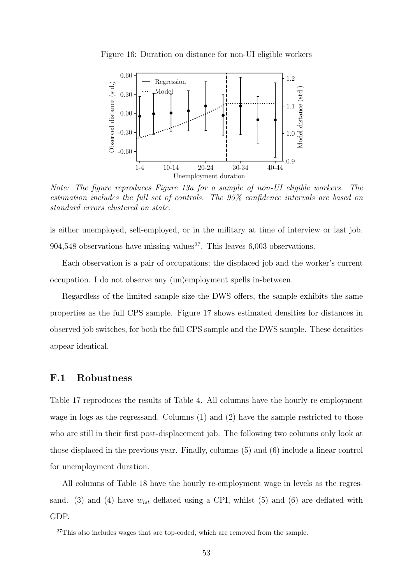

<span id="page-53-0"></span>Figure 16: Duration on distance for non-UI eligible workers

Note: The figure reproduces Figure [13a](#page-32-1) for a sample of non-UI eligible workers. The estimation includes the full set of controls. The 95% confidence intervals are based on standard errors clustered on state.

is either unemployed, self-employed, or in the military at time of interview or last job. 904,548 observations have missing values<sup>[27](#page-53-1)</sup>. This leaves 6,003 observations.

Each observation is a pair of occupations; the displaced job and the worker's current occupation. I do not observe any (un)employment spells in-between.

Regardless of the limited sample size the DWS offers, the sample exhibits the same properties as the full CPS sample. Figure [17](#page-54-1) shows estimated densities for distances in observed job switches, for both the full CPS sample and the DWS sample. These densities appear identical.

### F.1 Robustness

Table [17](#page-54-0) reproduces the results of Table [4.](#page-15-1) All columns have the hourly re-employment wage in logs as the regressand. Columns (1) and (2) have the sample restricted to those who are still in their first post-displacement job. The following two columns only look at those displaced in the previous year. Finally, columns (5) and (6) include a linear control for unemployment duration.

All columns of Table [18](#page-55-0) have the hourly re-employment wage in levels as the regressand. (3) and (4) have  $w_{ist}$  deflated using a CPI, whilst (5) and (6) are deflated with GDP.

<span id="page-53-1"></span> $27$ This also includes wages that are top-coded, which are removed from the sample.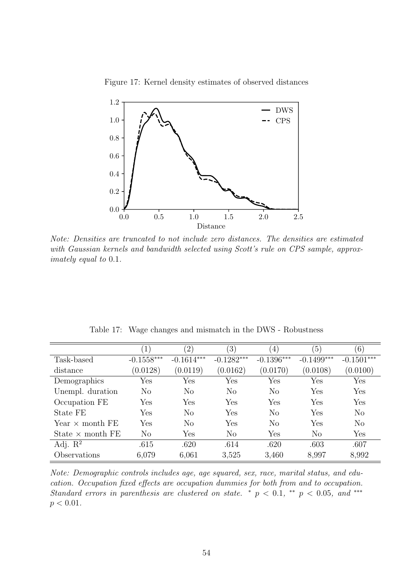<span id="page-54-1"></span>

Figure 17: Kernel density estimates of observed distances

Note: Densities are truncated to not include zero distances. The densities are estimated with Gaussian kernels and bandwidth selected using Scott's rule on CPS sample, approximately equal to 0.1.

<span id="page-54-0"></span>

|                         |              | $^{\prime}2)$  | $\left(3\right)$ | (4)                  | (5)                  | (6)                  |
|-------------------------|--------------|----------------|------------------|----------------------|----------------------|----------------------|
| Task-based              | $-0.1558***$ | $-0.1614***$   | $-0.1282***$     | $-0.1396***$         | $-0.1499***$         | $-0.1501***$         |
| distance                | (0.0128)     | (0.0119)       | (0.0162)         | (0.0170)             | (0.0108)             | (0.0100)             |
| Demographics            | Yes          | Yes            | Yes              | $\operatorname{Yes}$ | $\operatorname{Yes}$ | Yes                  |
| Unempl. duration        | $\rm No$     | N <sub>o</sub> | N <sub>o</sub>   | N <sub>o</sub>       | Yes                  | Yes                  |
| Occupation FE           | Yes          | Yes            | Yes              | ${\rm Yes}$          | $\operatorname{Yes}$ | $\operatorname{Yes}$ |
| State FE                | Yes          | N <sub>o</sub> | Yes              | N <sub>o</sub>       | Yes                  | N <sub>o</sub>       |
| Year $\times$ month FE  | Yes          | N <sub>o</sub> | Yes              | $\rm No$             | Yes                  | N <sub>o</sub>       |
| State $\times$ month FE | $\rm No$     | Yes            | $\rm No$         | Yes                  | N <sub>o</sub>       | Yes                  |
| Adj. $\mathbb{R}^2$     | .615         | .620           | .614             | .620                 | .603                 | .607                 |
| Observations            | 6,079        | 6,061          | 3,525            | 3,460                | 8,997                | 8,992                |

Table 17: Wage changes and mismatch in the DWS - Robustness

Note: Demographic controls includes age, age squared, sex, race, marital status, and education. Occupation fixed effects are occupation dummies for both from and to occupation. Standard errors in parenthesis are clustered on state. \*  $p < 0.1$ , \*\*  $p < 0.05$ , and \*\*\*  $p < 0.01$ .